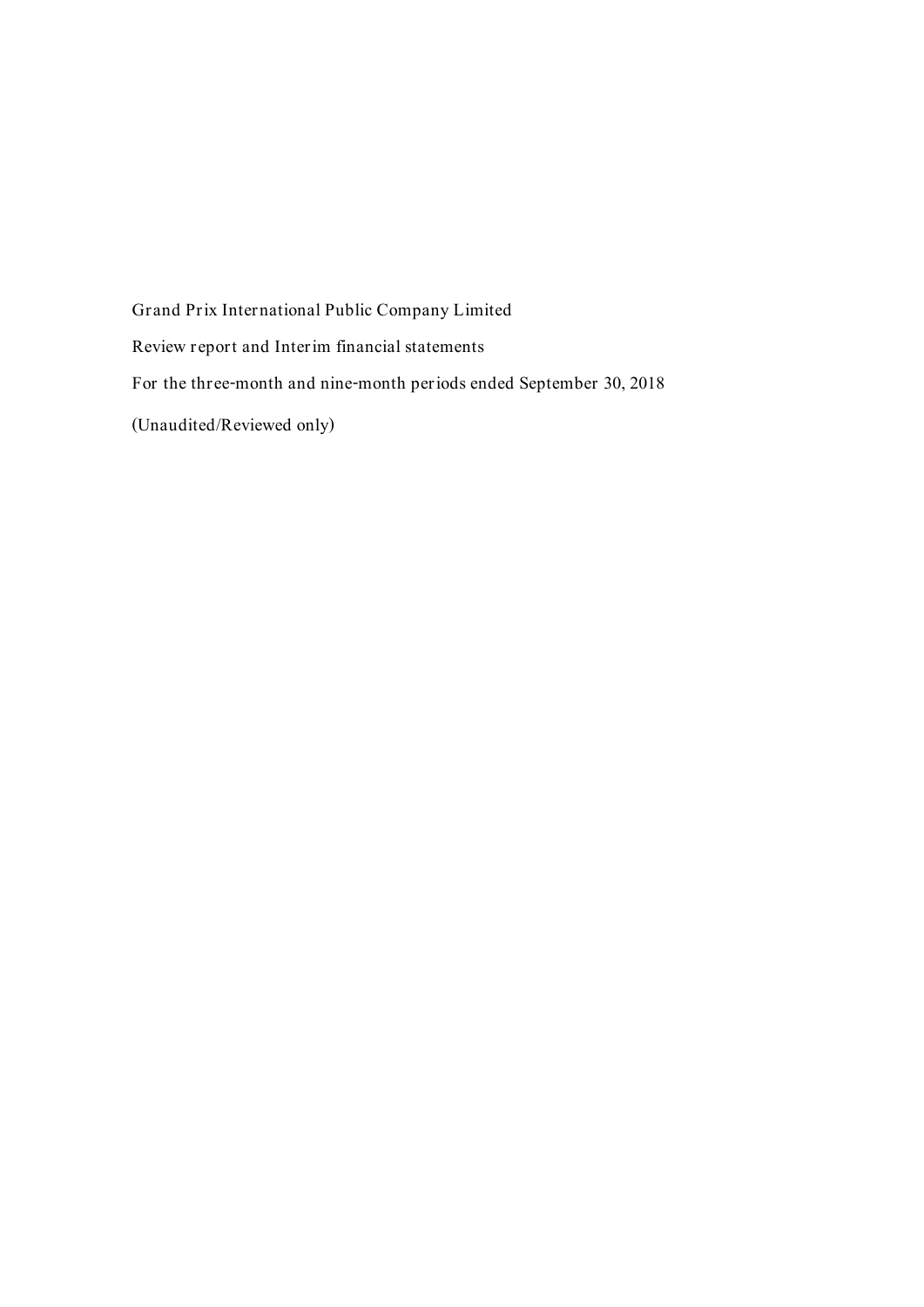Grand Prix International Public Company Limited Review report and Interim financial statements For the three-month and nine-month periods ended September 30, 2018 (Unaudited/Reviewed only)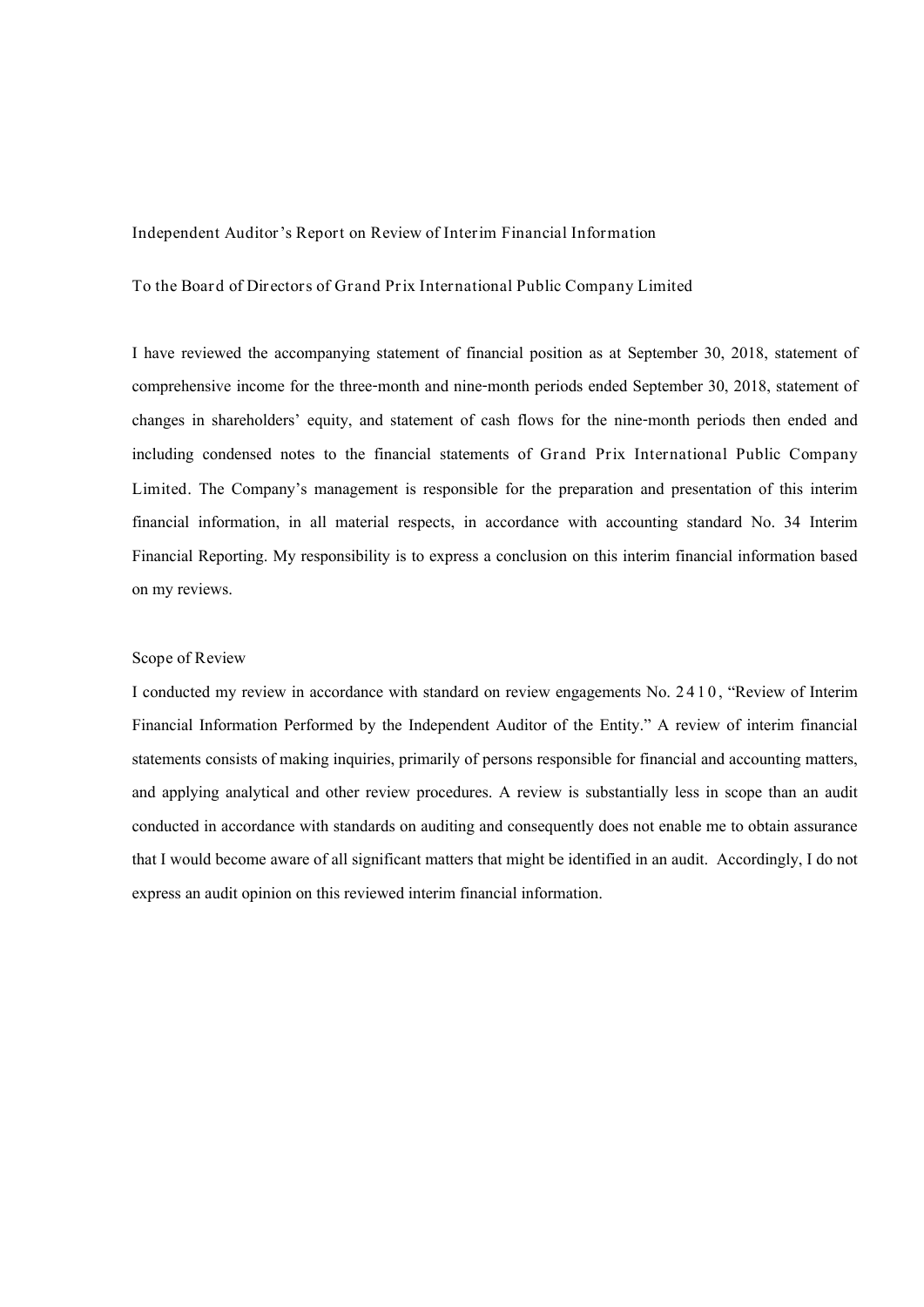Independent Auditor's Report on Review of Interim Financial Information

To the Board of Directors of Grand Prix International Public Company Limited

I have reviewed the accompanying statement of financial position as at September 30, 2018, statement of comprehensive income for the three-month and nine-month periods ended September 30, 2018, statement of changes in shareholders' equity, and statement of cash flows for the nine-month periods then ended and including condensed notes to the financial statements of Grand Prix International Public Company Limited. The Company's management is responsible for the preparation and presentation of this interim financial information, in all material respects, in accordance with accounting standard No. 34 Interim Financial Reporting. My responsibility is to express a conclusion on this interim financial information based on my reviews.

## Scope of Review

I conducted my review in accordance with standard on review engagements No. 2 4 1 0 , "Review of Interim Financial Information Performed by the Independent Auditor of the Entity." A review of interim financial statements consists of making inquiries, primarily of persons responsible for financial and accounting matters, and applying analytical and other review procedures. A review is substantially less in scope than an audit conducted in accordance with standards on auditing and consequently does not enable me to obtain assurance that I would become aware of all significant matters that might be identified in an audit. Accordingly, I do not express an audit opinion on this reviewed interim financial information.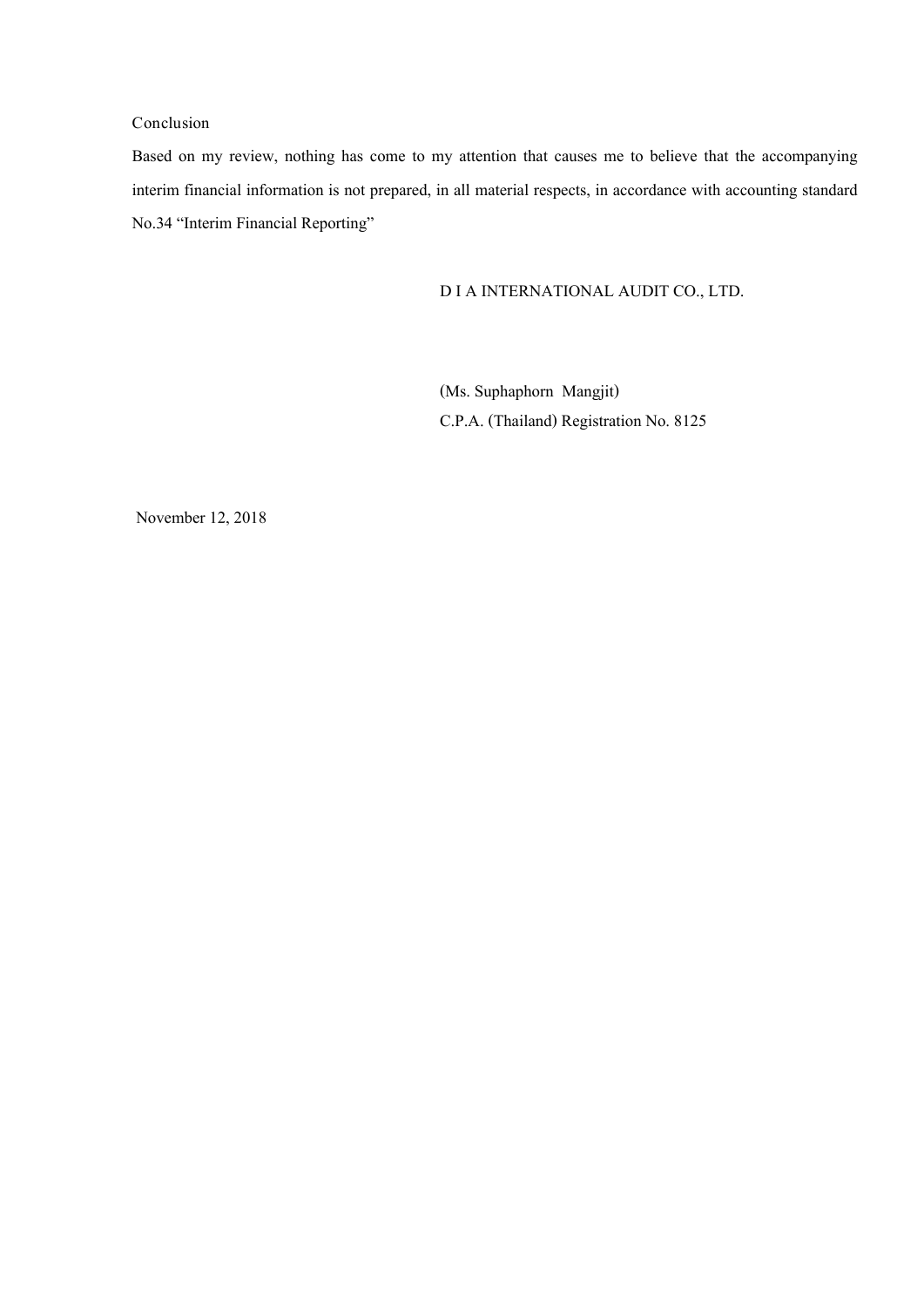# Conclusion

Based on my review, nothing has come to my attention that causes me to believe that the accompanying interim financial information is not prepared, in all material respects, in accordance with accounting standard No.34 "Interim Financial Reporting"

# D I A INTERNATIONAL AUDIT CO., LTD.

(Ms. Suphaphorn Mangjit) C.P.A. (Thailand) Registration No. 8125

November 12, 2018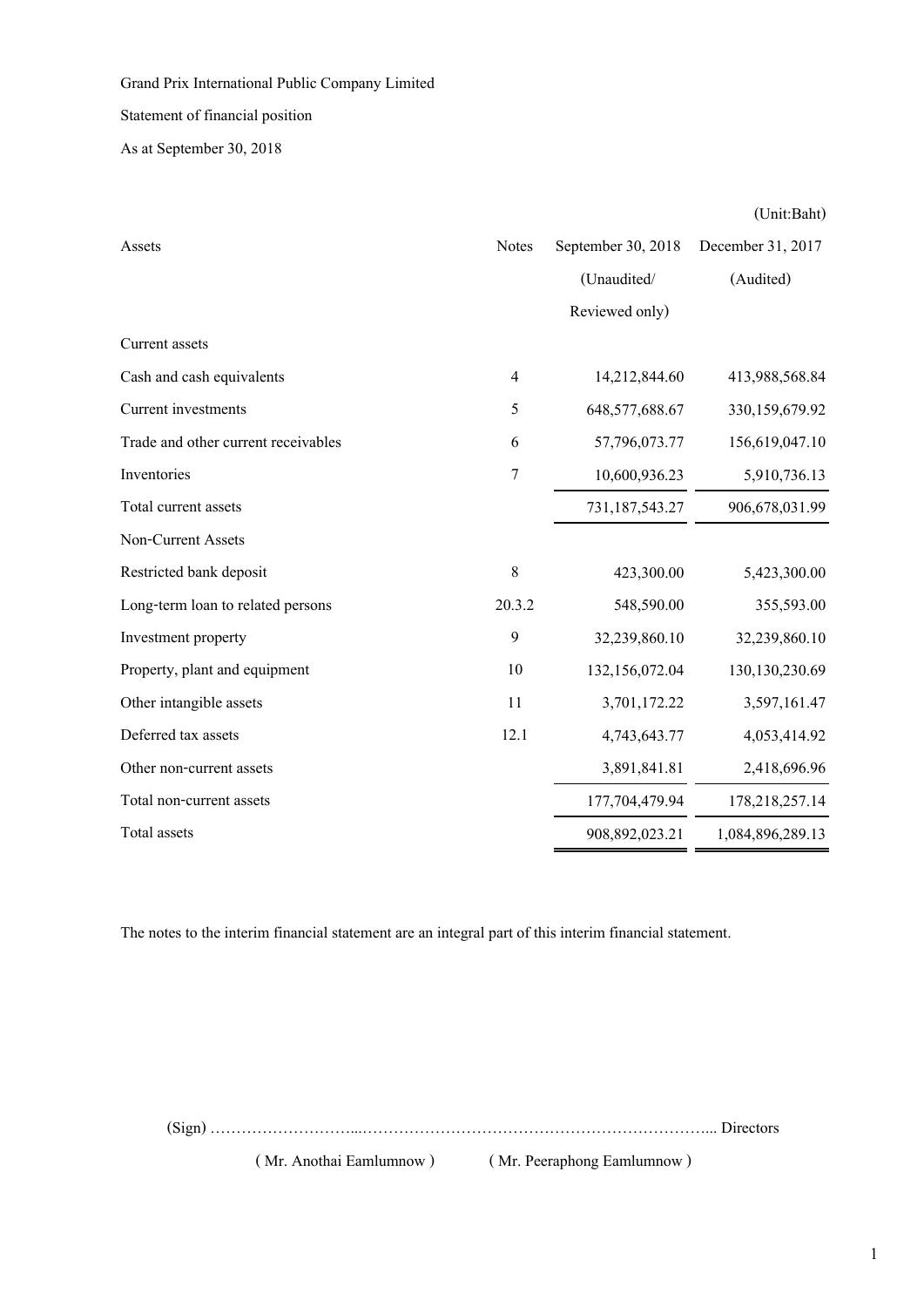Statement of financial position

As at September 30, 2018

|                                     |                |                    | (Unit:Baht)       |
|-------------------------------------|----------------|--------------------|-------------------|
| Assets                              | <b>Notes</b>   | September 30, 2018 | December 31, 2017 |
|                                     |                | (Unaudited/        | (Audited)         |
|                                     |                | Reviewed only)     |                   |
| Current assets                      |                |                    |                   |
| Cash and cash equivalents           | $\overline{4}$ | 14,212,844.60      | 413,988,568.84    |
| Current investments                 | 5              | 648,577,688.67     | 330,159,679.92    |
| Trade and other current receivables | 6              | 57,796,073.77      | 156,619,047.10    |
| Inventories                         | $\overline{7}$ | 10,600,936.23      | 5,910,736.13      |
| Total current assets                |                | 731,187,543.27     | 906,678,031.99    |
| Non-Current Assets                  |                |                    |                   |
| Restricted bank deposit             | $8\,$          | 423,300.00         | 5,423,300.00      |
| Long-term loan to related persons   | 20.3.2         | 548,590.00         | 355,593.00        |
| Investment property                 | 9              | 32,239,860.10      | 32,239,860.10     |
| Property, plant and equipment       | 10             | 132,156,072.04     | 130,130,230.69    |
| Other intangible assets             | 11             | 3,701,172.22       | 3,597,161.47      |
| Deferred tax assets                 | 12.1           | 4,743,643.77       | 4,053,414.92      |
| Other non-current assets            |                | 3,891,841.81       | 2,418,696.96      |
| Total non-current assets            |                | 177,704,479.94     | 178,218,257.14    |
| Total assets                        |                | 908,892,023.21     | 1,084,896,289.13  |

The notes to the interim financial statement are an integral part of this interim financial statement.

(Sign) ………………………...…………………………………………………………... Directors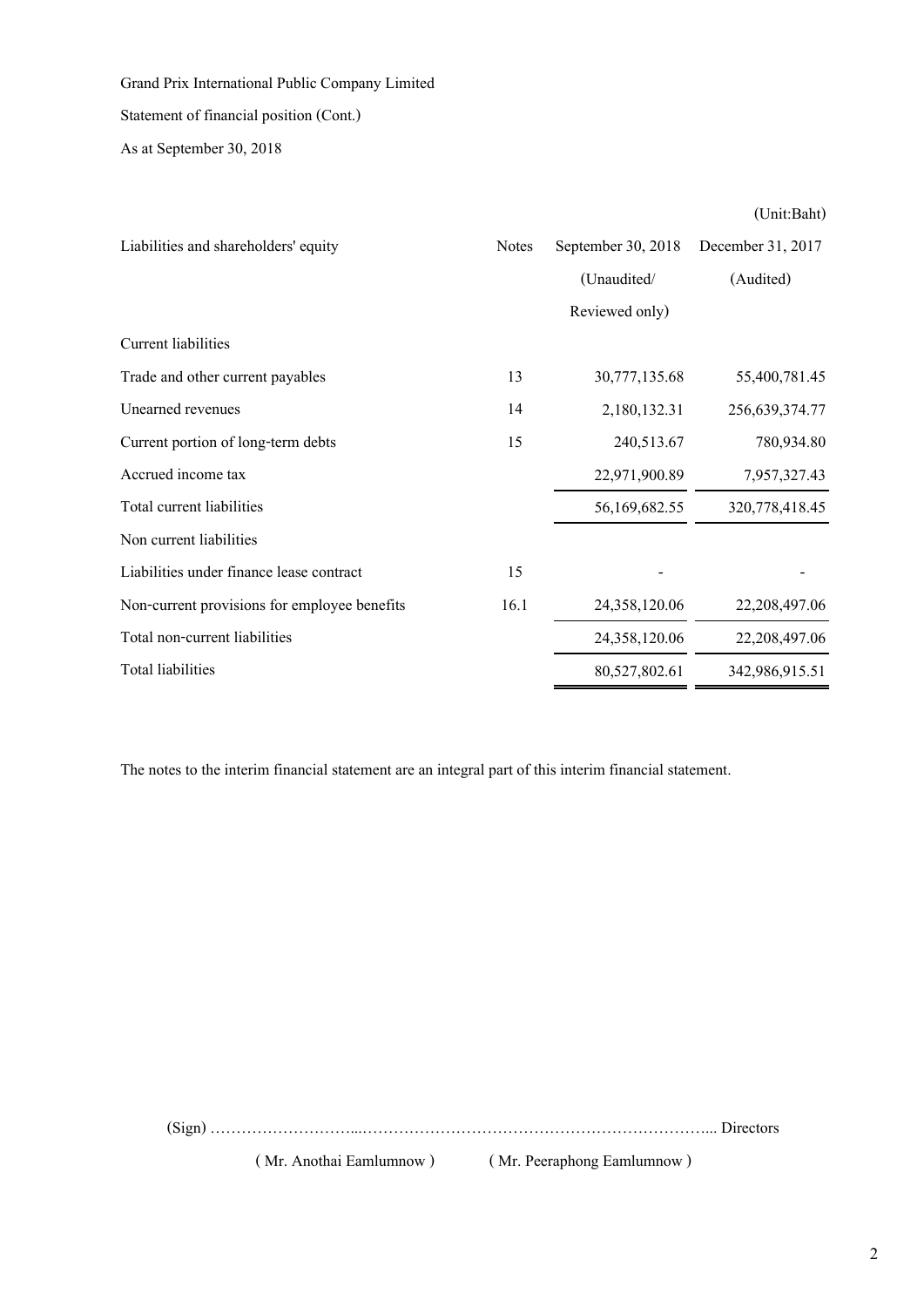# Statement of financial position (Cont.)

As at September 30, 2018

(Unit:Baht)

| Liabilities and shareholders' equity         | <b>Notes</b> | September 30, 2018 | December 31, 2017 |
|----------------------------------------------|--------------|--------------------|-------------------|
|                                              |              | (Unaudited/        | (Audited)         |
|                                              |              | Reviewed only)     |                   |
| Current liabilities                          |              |                    |                   |
| Trade and other current payables             | 13           | 30,777,135.68      | 55,400,781.45     |
| Unearned revenues                            | 14           | 2,180,132.31       | 256,639,374.77    |
| Current portion of long-term debts           | 15           | 240,513.67         | 780,934.80        |
| Accrued income tax                           |              | 22,971,900.89      | 7,957,327.43      |
| Total current liabilities                    |              | 56,169,682.55      | 320,778,418.45    |
| Non current liabilities                      |              |                    |                   |
| Liabilities under finance lease contract     | 15           |                    |                   |
| Non-current provisions for employee benefits | 16.1         | 24,358,120.06      | 22, 208, 497.06   |
| Total non-current liabilities                |              | 24,358,120.06      | 22,208,497.06     |
| <b>Total liabilities</b>                     |              | 80,527,802.61      | 342,986,915.51    |

The notes to the interim financial statement are an integral part of this interim financial statement.

(Sign) ………………………...…………………………………………………………... Directors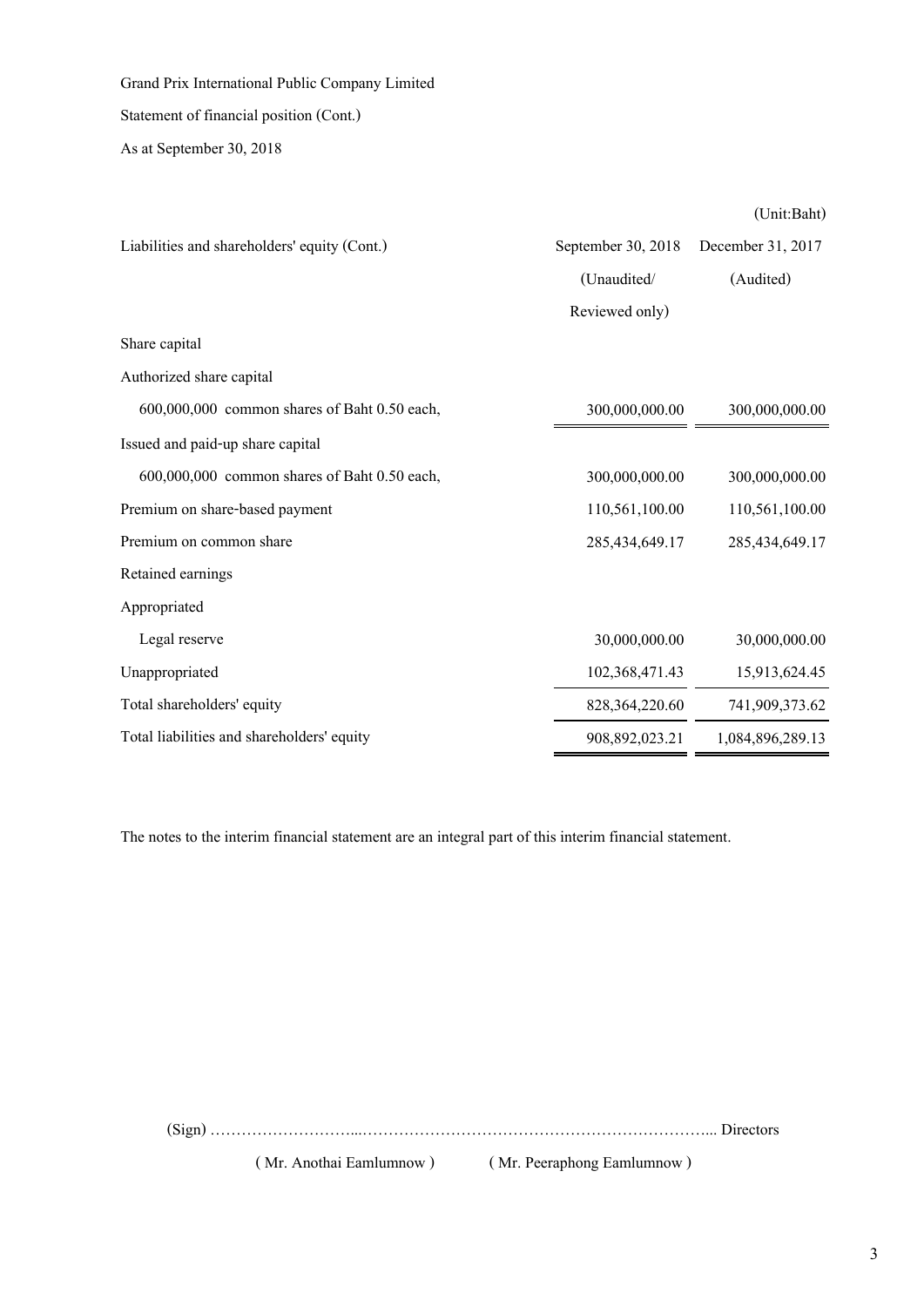Grand Prix International Public Company Limited Statement of financial position (Cont.)

As at September 30, 2018

(Unit:Baht)

| Liabilities and shareholders' equity (Cont.) | September 30, 2018 | December 31, 2017 |
|----------------------------------------------|--------------------|-------------------|
|                                              | (Unaudited/        | (Audited)         |
|                                              | Reviewed only)     |                   |
| Share capital                                |                    |                   |
| Authorized share capital                     |                    |                   |
| 600,000,000 common shares of Baht 0.50 each, | 300,000,000.00     | 300,000,000.00    |
| Issued and paid-up share capital             |                    |                   |
| 600,000,000 common shares of Baht 0.50 each, | 300,000,000.00     | 300,000,000.00    |
| Premium on share-based payment               | 110,561,100.00     | 110,561,100.00    |
| Premium on common share                      | 285,434,649.17     | 285,434,649.17    |
| Retained earnings                            |                    |                   |
| Appropriated                                 |                    |                   |
| Legal reserve                                | 30,000,000.00      | 30,000,000.00     |
| Unappropriated                               | 102,368,471.43     | 15,913,624.45     |
| Total shareholders' equity                   | 828, 364, 220.60   | 741,909,373.62    |
| Total liabilities and shareholders' equity   | 908,892,023.21     | 1,084,896,289.13  |

The notes to the interim financial statement are an integral part of this interim financial statement.

(Sign) ………………………...…………………………………………………………... Directors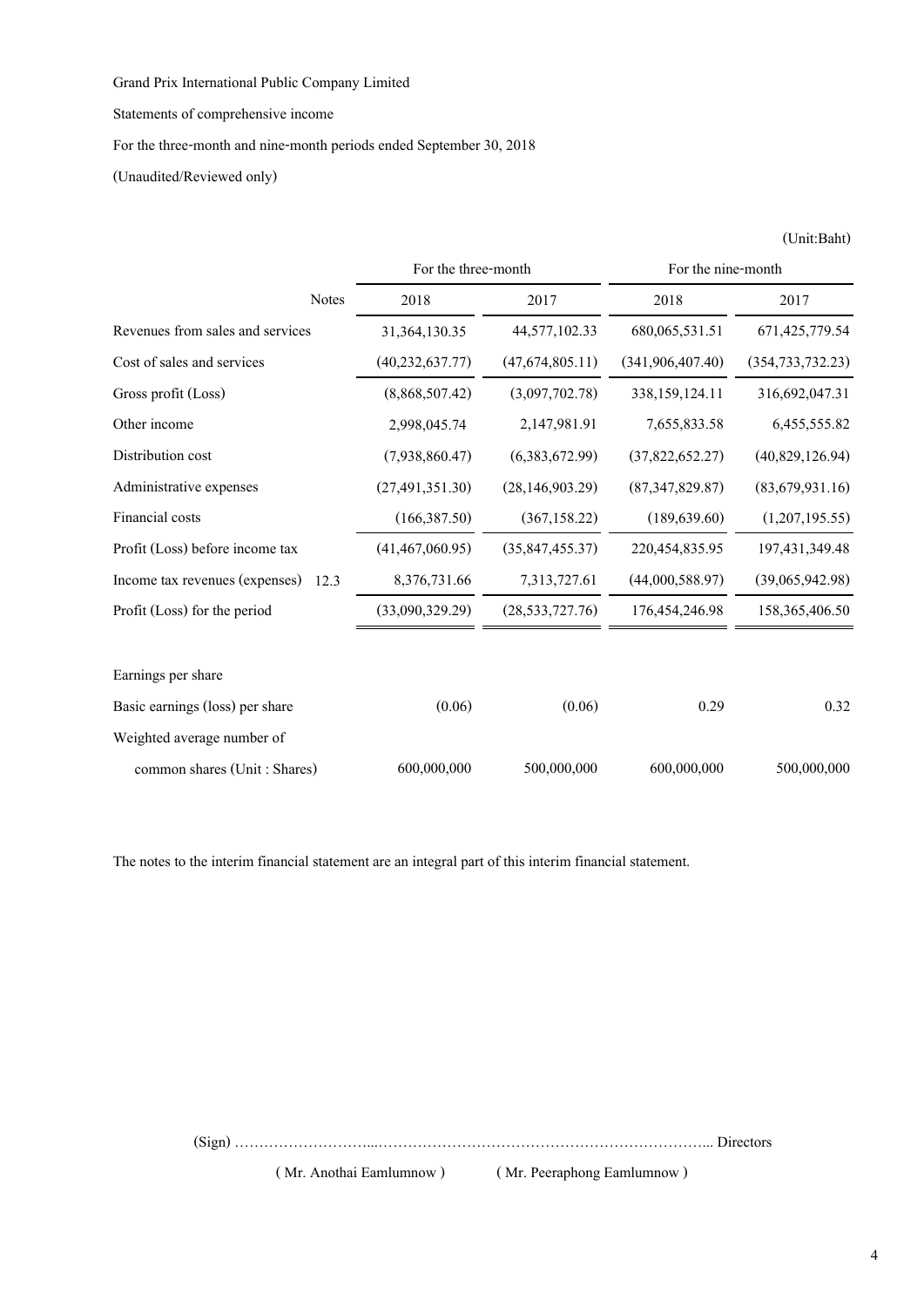Statements of comprehensive income

For the three-month and nine-month periods ended September 30, 2018

(Unaudited/Reviewed only)

|                                        | For the three-month |                   | For the nine-month |                    |
|----------------------------------------|---------------------|-------------------|--------------------|--------------------|
| <b>Notes</b>                           | 2018                | 2017              | 2018               | 2017               |
| Revenues from sales and services       | 31,364,130.35       | 44,577,102.33     | 680,065,531.51     | 671, 425, 779.54   |
| Cost of sales and services             | (40, 232, 637.77)   | (47,674,805.11)   | (341, 906, 407.40) | (354, 733, 732.23) |
| Gross profit (Loss)                    | (8,868,507.42)      | (3,097,702.78)    | 338,159,124.11     | 316,692,047.31     |
| Other income                           | 2,998,045.74        | 2,147,981.91      | 7,655,833.58       | 6,455,555.82       |
| Distribution cost                      | (7,938,860.47)      | (6,383,672.99)    | (37,822,652.27)    | (40,829,126.94)    |
| Administrative expenses                | (27, 491, 351.30)   | (28, 146, 903.29) | (87,347,829.87)    | (83,679,931.16)    |
| Financial costs                        | (166, 387.50)       | (367, 158.22)     | (189, 639.60)      | (1,207,195.55)     |
| Profit (Loss) before income tax        | (41, 467, 060.95)   | (35, 847, 455.37) | 220,454,835.95     | 197,431,349.48     |
| Income tax revenues (expenses)<br>12.3 | 8,376,731.66        | 7,313,727.61      | (44,000,588.97)    | (39,065,942.98)    |
| Profit (Loss) for the period           | (33,090,329.29)     | (28, 533, 727.76) | 176,454,246.98     | 158,365,406.50     |
| Earnings per share                     |                     |                   |                    |                    |
| Basic earnings (loss) per share        | (0.06)              | (0.06)            | 0.29               | 0.32               |
| Weighted average number of             |                     |                   |                    |                    |
| common shares (Unit: Shares)           | 600,000,000         | 500,000,000       | 600,000,000        | 500,000,000        |

The notes to the interim financial statement are an integral part of this interim financial statement.

(Sign) ………………………...…………………………………………………………... Directors

( Mr. Anothai Eamlumnow ) ( Mr. Peeraphong Eamlumnow )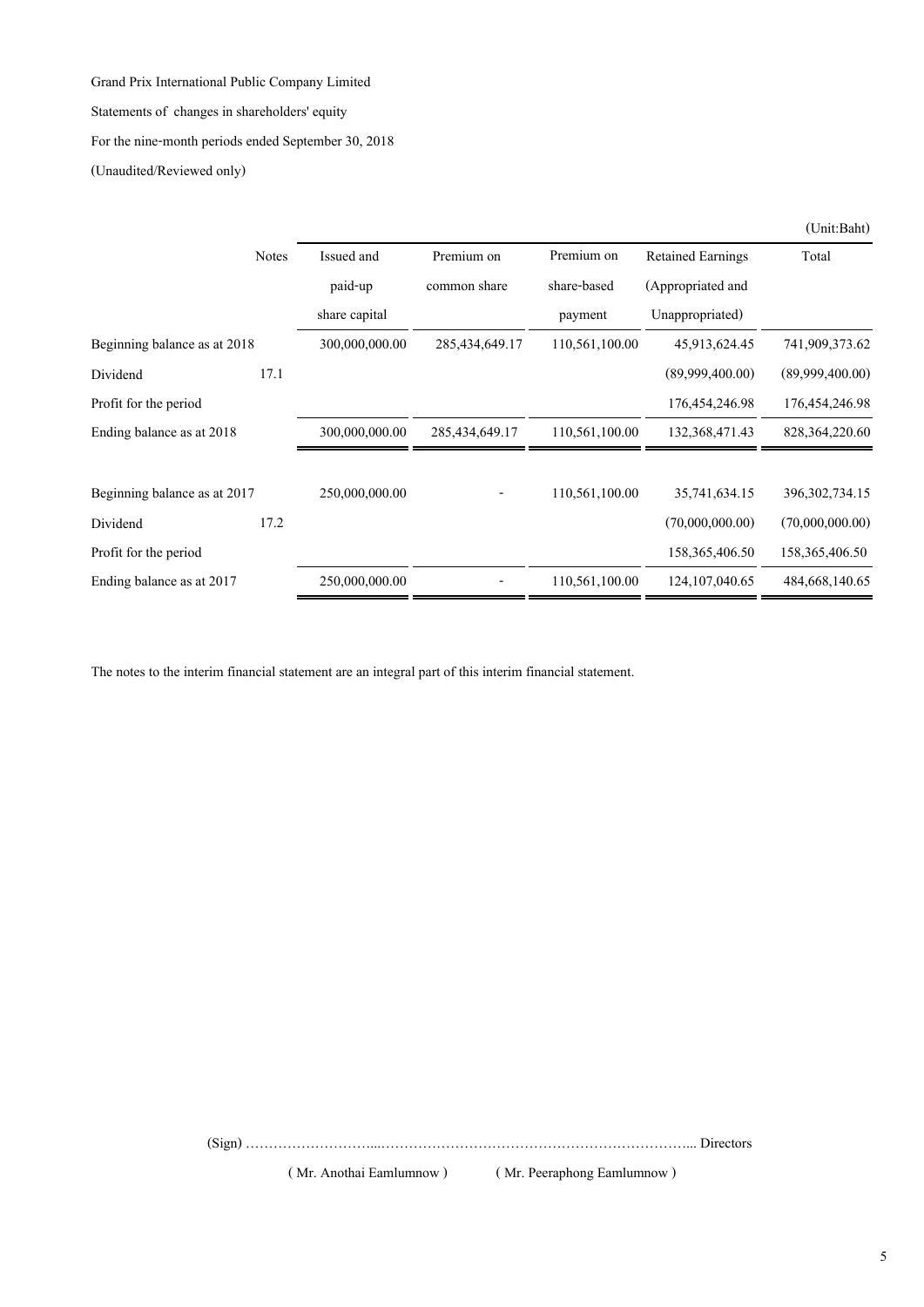Statements of changes in shareholders' equity

For the nine-month periods ended September 30, 2018

(Unaudited/Reviewed only)

|                              |              |                |                   |                |                          | (Unit:Baht)       |
|------------------------------|--------------|----------------|-------------------|----------------|--------------------------|-------------------|
|                              | <b>Notes</b> | Issued and     | Premium on        | Premium on     | <b>Retained Earnings</b> | Total             |
|                              |              | paid-up        | common share      | share-based    | (Appropriated and        |                   |
|                              |              | share capital  |                   | payment        | Unappropriated)          |                   |
| Beginning balance as at 2018 |              | 300,000,000.00 | 285, 434, 649, 17 | 110,561,100.00 | 45,913,624.45            | 741,909,373.62    |
| Dividend                     | 17.1         |                |                   |                | (89,999,400,00)          | (89,999,400,00)   |
| Profit for the period        |              |                |                   |                | 176, 454, 246. 98        | 176, 454, 246. 98 |
| Ending balance as at 2018    |              | 300,000,000.00 | 285, 434, 649, 17 | 110,561,100.00 | 132, 368, 471, 43        | 828, 364, 220, 60 |
| Beginning balance as at 2017 |              | 250,000,000.00 |                   | 110,561,100.00 | 35,741,634.15            | 396, 302, 734. 15 |
| Dividend                     | 17.2         |                |                   |                | (70,000,000.00)          | (70,000,000,00)   |
| Profit for the period        |              |                |                   |                | 158, 365, 406. 50        | 158, 365, 406. 50 |
| Ending balance as at 2017    |              | 250,000,000.00 |                   | 110,561,100.00 | 124, 107, 040. 65        | 484,668,140.65    |

The notes to the interim financial statement are an integral part of this interim financial statement.

(Sign) ………………………...…………………………………………………………... Directors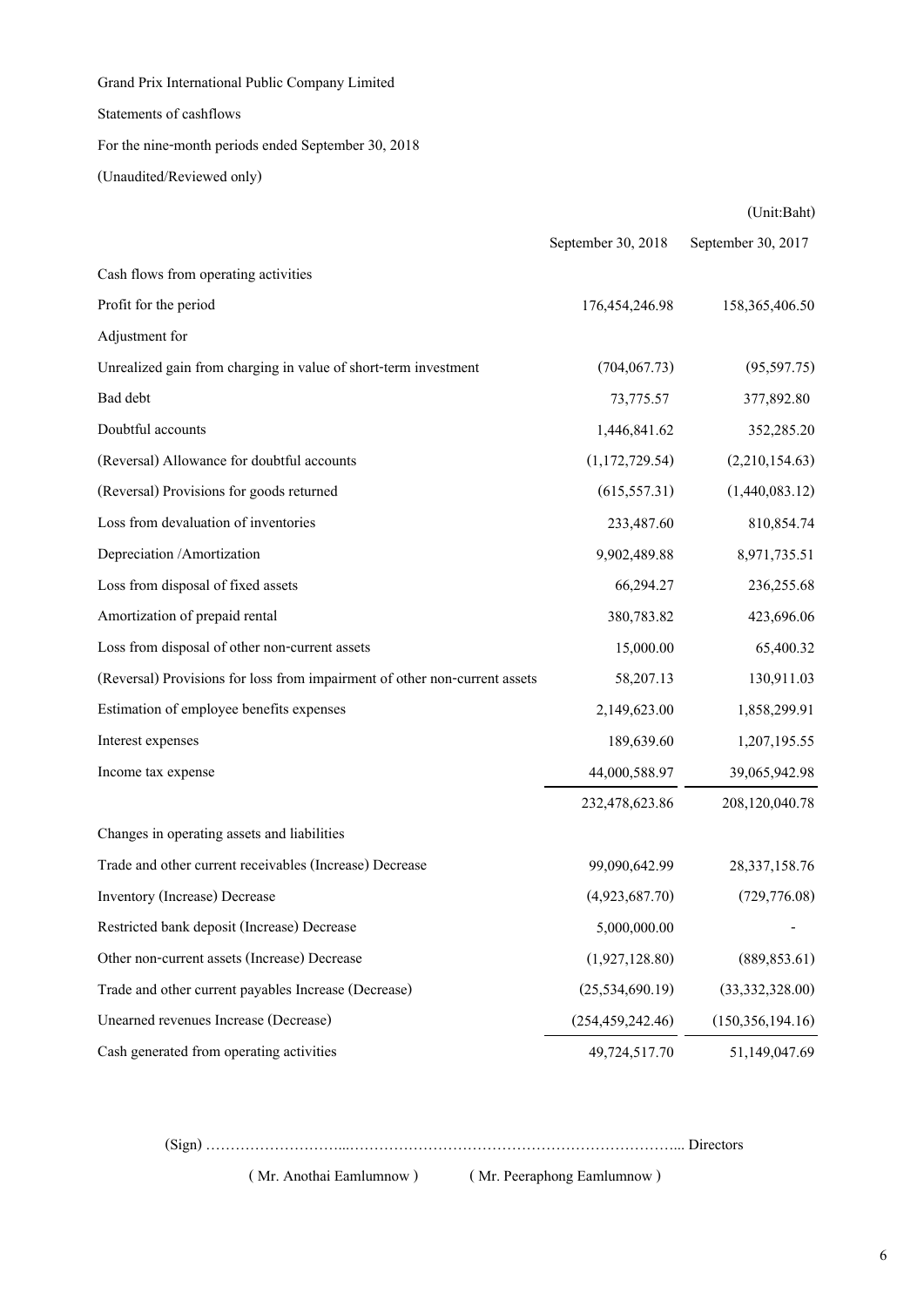Statements of cashflows

For the nine-month periods ended September 30, 2018

(Unaudited/Reviewed only)

|                                                                            |                    | (Unit:Baht)        |
|----------------------------------------------------------------------------|--------------------|--------------------|
|                                                                            | September 30, 2018 | September 30, 2017 |
| Cash flows from operating activities                                       |                    |                    |
| Profit for the period                                                      | 176,454,246.98     | 158,365,406.50     |
| Adjustment for                                                             |                    |                    |
| Unrealized gain from charging in value of short-term investment            | (704, 067.73)      | (95,597.75)        |
| Bad debt                                                                   | 73,775.57          | 377,892.80         |
| Doubtful accounts                                                          | 1,446,841.62       | 352,285.20         |
| (Reversal) Allowance for doubtful accounts                                 | (1,172,729.54)     | (2,210,154.63)     |
| (Reversal) Provisions for goods returned                                   | (615, 557.31)      | (1,440,083.12)     |
| Loss from devaluation of inventories                                       | 233,487.60         | 810,854.74         |
| Depreciation /Amortization                                                 | 9,902,489.88       | 8,971,735.51       |
| Loss from disposal of fixed assets                                         | 66,294.27          | 236,255.68         |
| Amortization of prepaid rental                                             | 380,783.82         | 423,696.06         |
| Loss from disposal of other non-current assets                             | 15,000.00          | 65,400.32          |
| (Reversal) Provisions for loss from impairment of other non-current assets | 58,207.13          | 130,911.03         |
| Estimation of employee benefits expenses                                   | 2,149,623.00       | 1,858,299.91       |
| Interest expenses                                                          | 189,639.60         | 1,207,195.55       |
| Income tax expense                                                         | 44,000,588.97      | 39,065,942.98      |
|                                                                            | 232,478,623.86     | 208,120,040.78     |
| Changes in operating assets and liabilities                                |                    |                    |
| Trade and other current receivables (Increase) Decrease                    | 99,090,642.99      | 28, 337, 158. 76   |
| Inventory (Increase) Decrease                                              | (4,923,687.70)     | (729, 776.08)      |
| Restricted bank deposit (Increase) Decrease                                | 5,000,000.00       |                    |
| Other non-current assets (Increase) Decrease                               | (1,927,128.80)     | (889, 853.61)      |
| Trade and other current payables Increase (Decrease)                       | (25, 534, 690.19)  | (33,332,328.00)    |
| Unearned revenues Increase (Decrease)                                      | (254, 459, 242.46) | (150, 356, 194.16) |
| Cash generated from operating activities                                   | 49,724,517.70      | 51,149,047.69      |

(Sign) ………………………...…………………………………………………………... Directors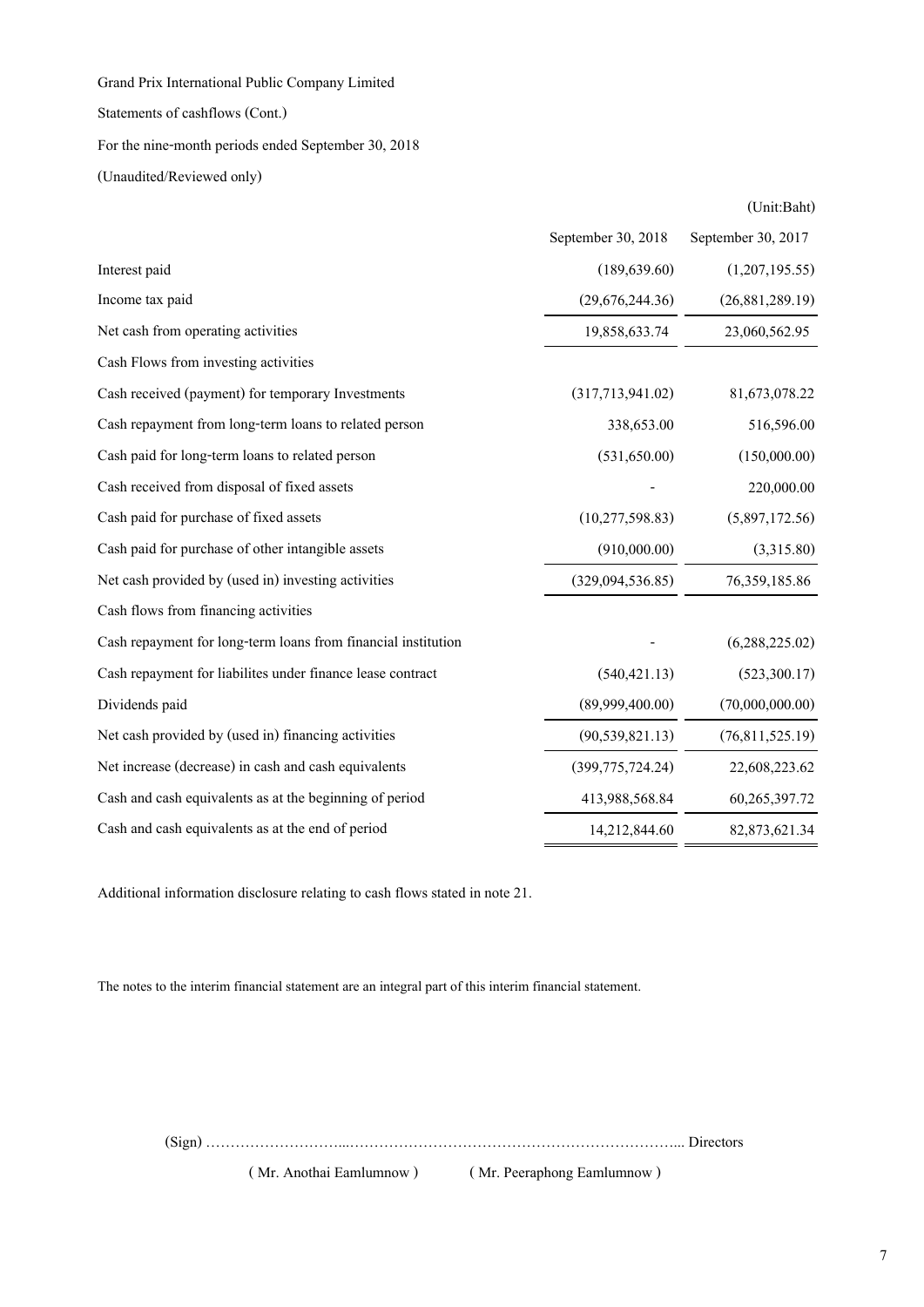Statements of cashflows (Cont.)

# For the nine-month periods ended September 30, 2018

(Unaudited/Reviewed only)

|                                                               |                    | (Unit:Baht)        |
|---------------------------------------------------------------|--------------------|--------------------|
|                                                               | September 30, 2018 | September 30, 2017 |
| Interest paid                                                 | (189, 639.60)      | (1,207,195.55)     |
| Income tax paid                                               | (29,676,244.36)    | (26,881,289.19)    |
| Net cash from operating activities                            | 19,858,633.74      | 23,060,562.95      |
| Cash Flows from investing activities                          |                    |                    |
| Cash received (payment) for temporary Investments             | (317,713,941.02)   | 81,673,078.22      |
| Cash repayment from long-term loans to related person         | 338,653.00         | 516,596.00         |
| Cash paid for long-term loans to related person               | (531,650.00)       | (150,000.00)       |
| Cash received from disposal of fixed assets                   |                    | 220,000.00         |
| Cash paid for purchase of fixed assets                        | (10, 277, 598.83)  | (5,897,172.56)     |
| Cash paid for purchase of other intangible assets             | (910,000.00)       | (3,315.80)         |
| Net cash provided by (used in) investing activities           | (329,094,536.85)   | 76, 359, 185.86    |
| Cash flows from financing activities                          |                    |                    |
| Cash repayment for long-term loans from financial institution |                    | (6,288,225.02)     |
| Cash repayment for liabilites under finance lease contract    | (540, 421.13)      | (523, 300.17)      |
| Dividends paid                                                | (89,999,400.00)    | (70,000,000.00)    |
| Net cash provided by (used in) financing activities           | (90, 539, 821.13)  | (76,811,525.19)    |
| Net increase (decrease) in cash and cash equivalents          | (399, 775, 724.24) | 22,608,223.62      |
| Cash and cash equivalents as at the beginning of period       | 413,988,568.84     | 60,265,397.72      |
| Cash and cash equivalents as at the end of period             | 14,212,844.60      | 82, 873, 621. 34   |

Additional information disclosure relating to cash flows stated in note 21.

The notes to the interim financial statement are an integral part of this interim financial statement.

(Sign) ………………………...…………………………………………………………... Directors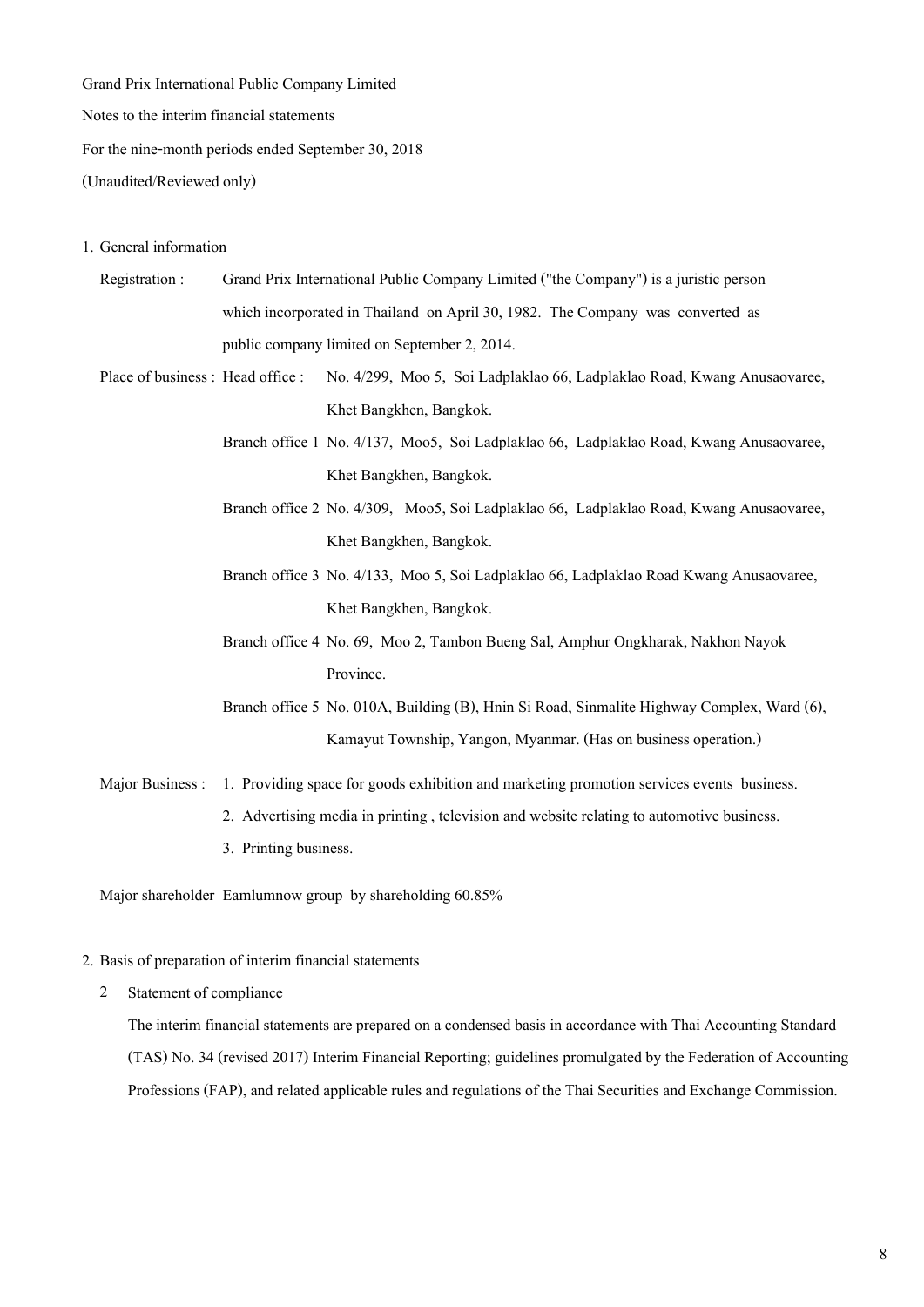**Notes to the interim financial statements**

**For the nine-month periods ended September 30, 2018** 

**(Unaudited/Reviewed only)**

#### **1. General information**

- **Registration : Grand Prix International Public Company Limited ("the Company") is a juristic person which incorporated in Thailand on April 30, 1982. The Company was converted as public company limited on September 2, 2014.**
- **Place of business : Head office : No. 4/299, Moo 5, Soi Ladplaklao 66, Ladplaklao Road, Kwang Anusaovaree, Khet Bangkhen, Bangkok.**
	- **Branch office 1 No. 4/137, Moo5, Soi Ladplaklao 66, Ladplaklao Road, Kwang Anusaovaree, Khet Bangkhen, Bangkok.**
	- **Branch office 2 No. 4/309, Moo5, Soi Ladplaklao 66, Ladplaklao Road, Kwang Anusaovaree, Khet Bangkhen, Bangkok.**
	- **Branch office 3 No. 4/133, Moo 5, Soi Ladplaklao 66, Ladplaklao Road Kwang Anusaovaree, Khet Bangkhen, Bangkok.**
	- **Branch office 4 No. 69, Moo 2, Tambon Bueng Sal, Amphur Ongkharak, Nakhon Nayok Province.**
	- **Branch office 5 No. 010A, Building (B), Hnin Si Road, Sinmalite Highway Complex, Ward (6), Kamayut Township, Yangon, Myanmar. (Has on business operation.)**

**Major Business : 1. Providing space for goods exhibition and marketing promotion services events business.**

- **2. Advertising media in printing , television and website relating to automotive business.**
- **3. Printing business.**

**Major shareholder Eamlumnow group by shareholding 60.85%** 

### **2. Basis of preparation of interim financial statements**

**2 Statement of compliance**

**The interim financial statements are prepared on a condensed basis in accordance with Thai Accounting Standard (TAS) No. 34 (revised 2017) Interim Financial Reporting; guidelines promulgated by the Federation of Accounting Professions (FAP), and related applicable rules and regulations of the Thai Securities and Exchange Commission.**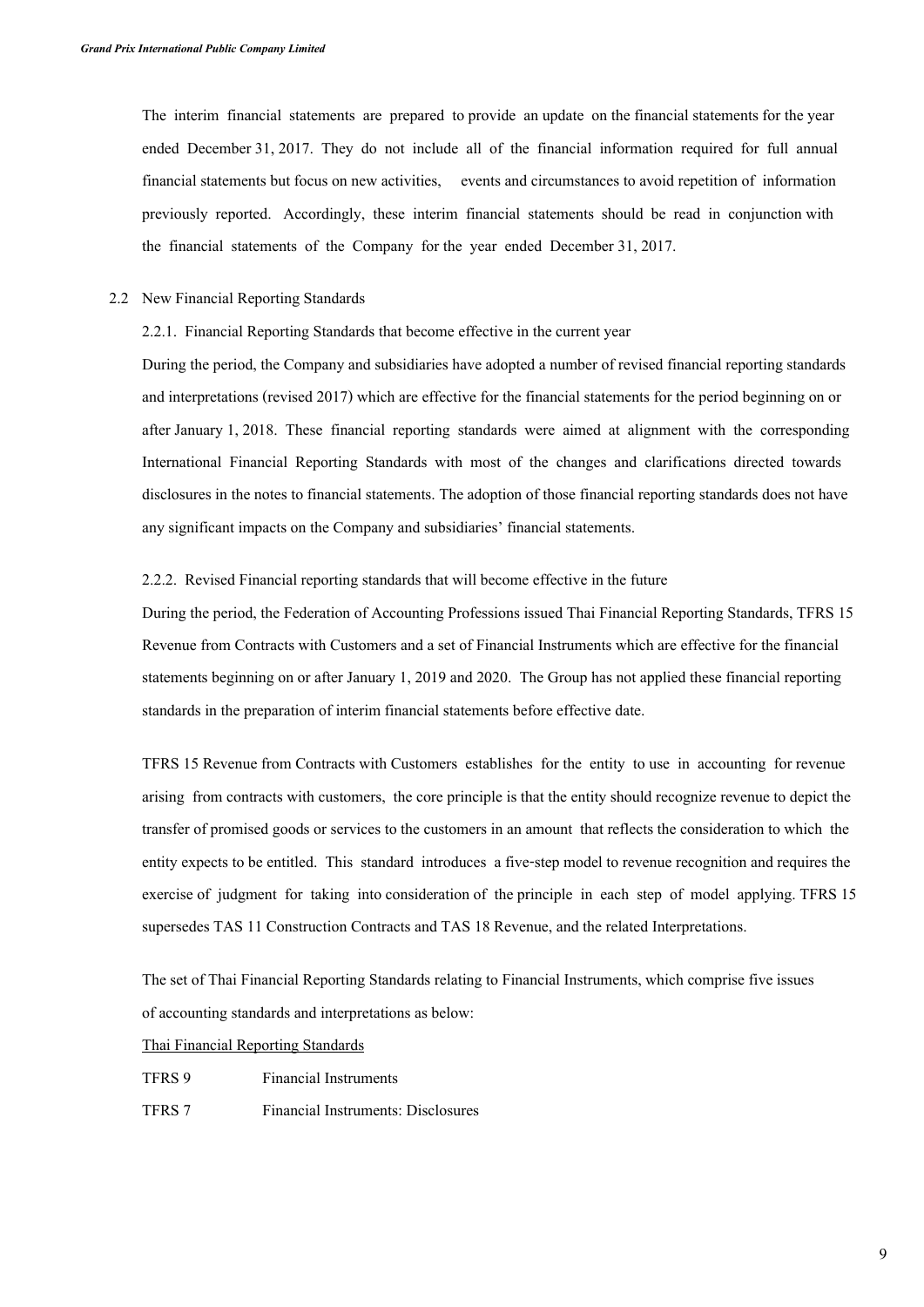**The interim financial statements are prepared to provide an update on the financial statements for the year ended December 31, 2017. They do not include all of the financial information required for full annual financial statements but focus on new activities, events and circumstances to avoid repetition of information previously reported. Accordingly, these interim financial statements should be read in conjunction with the financial statements of the Company for the year ended December 31, 2017.**

**2.2 New Financial Reporting Standards**

### **2.2.1. Financial Reporting Standards that become effective in the current year**

**During the period, the Company and subsidiaries have adopted a number of revised financial reporting standards and interpretations (revised 2017) which are effective for the financial statements for the period beginning on or after January 1, 2018. These financial reporting standards were aimed at alignment with the corresponding International Financial Reporting Standards with most of the changes and clarifications directed towards disclosures in the notes to financial statements. The adoption of those financial reporting standards does not have any significant impacts on the Company and subsidiaries' financial statements.** 

#### **2.2.2. Revised Financial reporting standards that will become effective in the future**

**During the period, the Federation of Accounting Professions issued Thai Financial Reporting Standards, TFRS 15 Revenue from Contracts with Customers and a set of Financial Instruments which are effective for the financial statements beginning on or after January 1, 2019 and 2020. The Group has not applied these financial reporting standards in the preparation of interim financial statements before effective date.** 

**TFRS 15 Revenue from Contracts with Customers establishes for the entity to use in accounting for revenue arising from contracts with customers, the core principle is that the entity should recognize revenue to depict the transfer of promised goods or services to the customers in an amount that reflects the consideration to which the entity expects to be entitled. This standard introduces a five-step model to revenue recognition and requires the exercise of judgment for taking into consideration of the principle in each step of model applying. TFRS 15 supersedes TAS 11 Construction Contracts and TAS 18 Revenue, and the related Interpretations.** 

**The set of Thai Financial Reporting Standards relating to Financial Instruments, which comprise five issues of accounting standards and interpretations as below:**

### **Thai Financial Reporting Standards**

- **TFRS 9 Financial Instruments**
- **TFRS 7 Financial Instruments: Disclosures**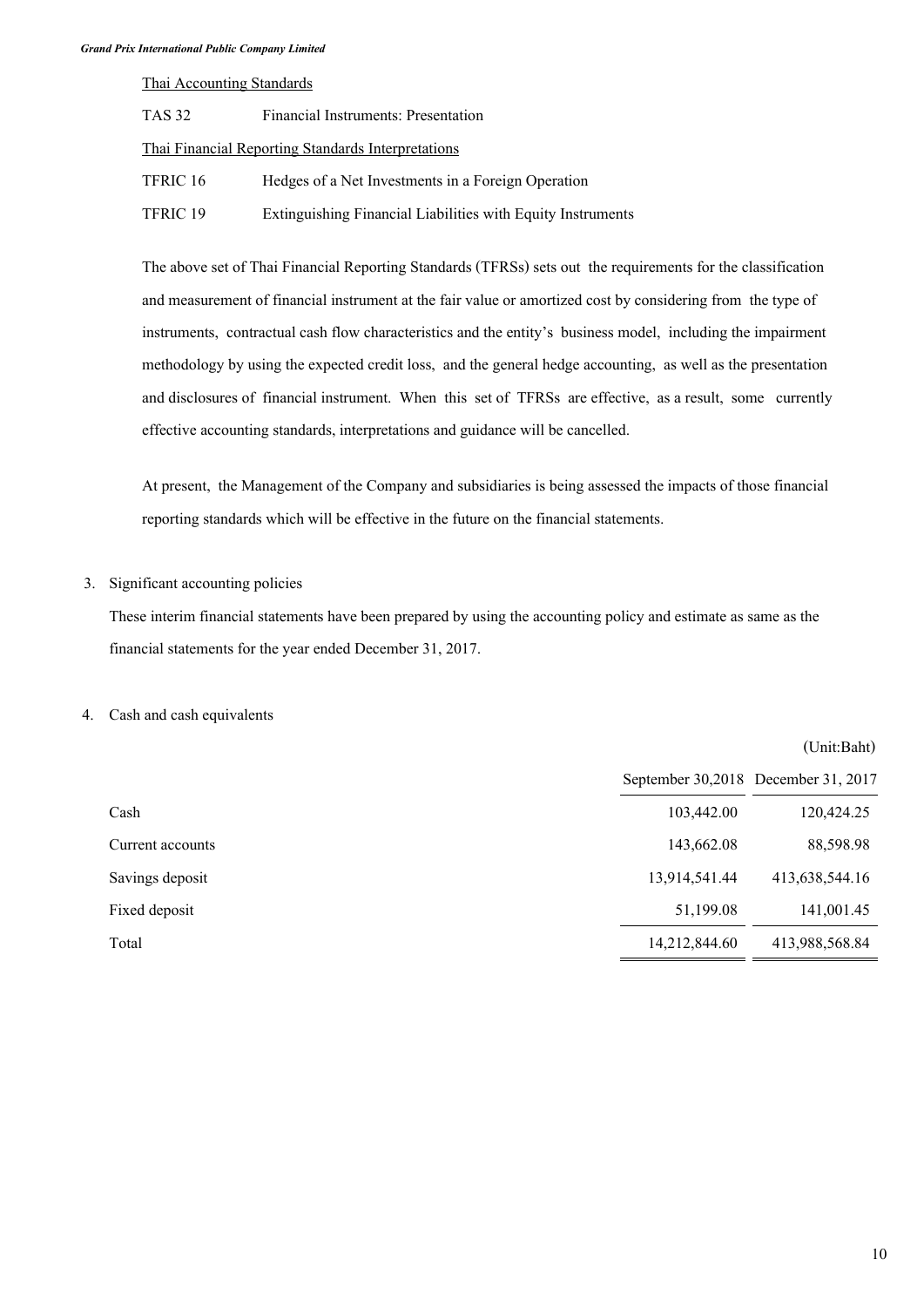**Thai Accounting Standards**

| TAS 32   | Financial Instruments: Presentation                         |
|----------|-------------------------------------------------------------|
|          | <b>Thai Financial Reporting Standards Interpretations</b>   |
| TFRIC 16 | Hedges of a Net Investments in a Foreign Operation          |
| TFRIC 19 | Extinguishing Financial Liabilities with Equity Instruments |

**The above set of Thai Financial Reporting Standards (TFRSs) sets out the requirements for the classification and measurement of financial instrument at the fair value or amortized cost by considering from the type of instruments, contractual cash flow characteristics and the entity's business model, including the impairment methodology by using the expected credit loss, and the general hedge accounting, as well as the presentation and disclosures of financial instrument. When this set of TFRSs are effective, as a result, some currently effective accounting standards, interpretations and guidance will be cancelled.**

**At present, the Management of the Company and subsidiaries is being assessed the impacts of those financial reporting standards which will be effective in the future on the financial statements.**

## **3. Significant accounting policies**

**These interim financial statements have been prepared by using the accounting policy and estimate as same as the financial statements for the year ended December 31, 2017.**

## **4. Cash and cash equivalents**

|                  |                                     | (Unit:Baht)    |
|------------------|-------------------------------------|----------------|
|                  | September 30,2018 December 31, 2017 |                |
| Cash             | 103,442.00                          | 120,424.25     |
| Current accounts | 143,662.08                          | 88,598.98      |
| Savings deposit  | 13,914,541.44                       | 413,638,544.16 |
| Fixed deposit    | 51,199.08                           | 141,001.45     |
| Total            | 14,212,844.60                       | 413,988,568.84 |
|                  |                                     |                |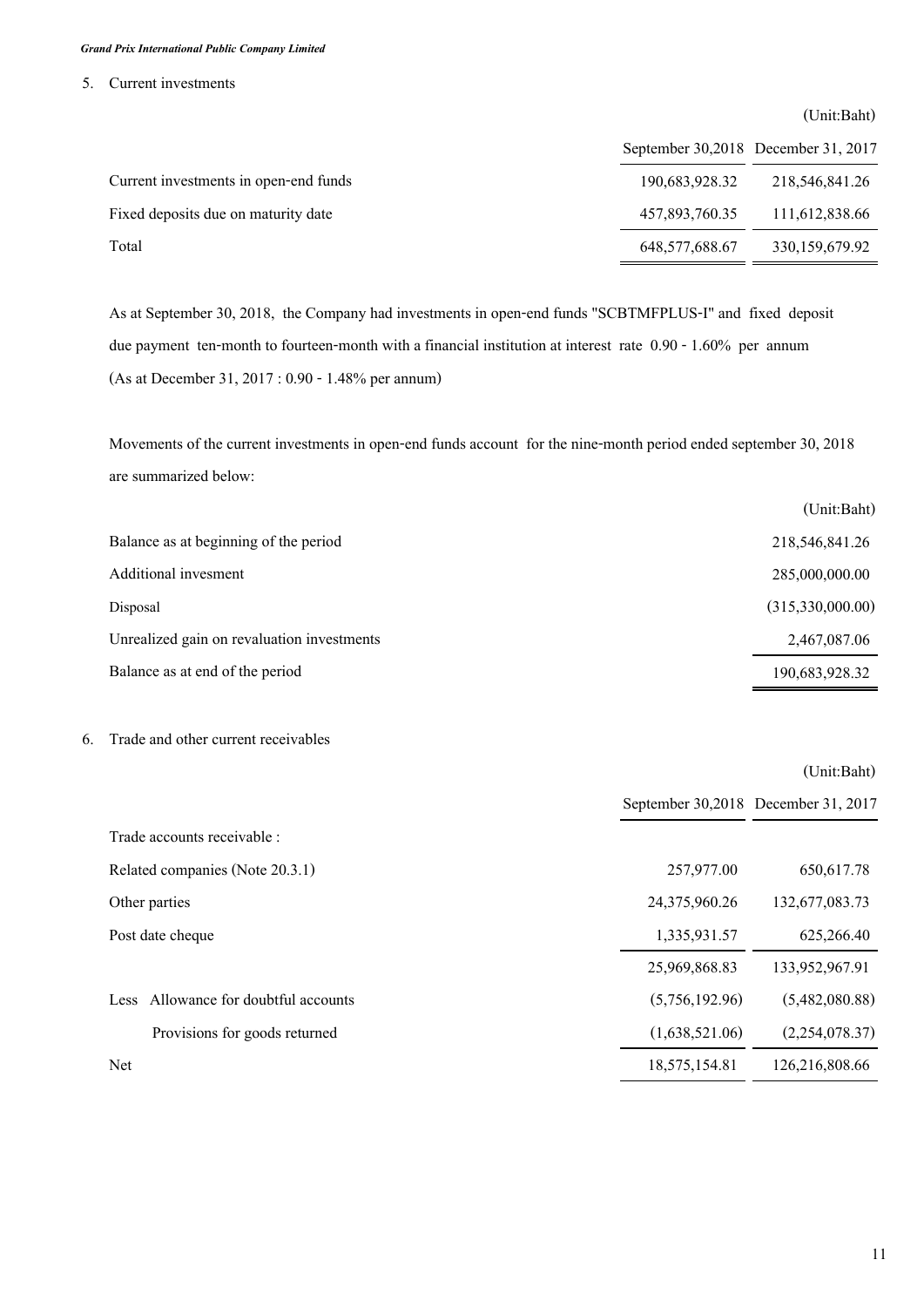## **5. Current investments**

|                                       |                | (Unit:Baht)                         |
|---------------------------------------|----------------|-------------------------------------|
|                                       |                | September 30,2018 December 31, 2017 |
| Current investments in open-end funds | 190,683,928.32 | 218,546,841,26                      |
| Fixed deposits due on maturity date   | 457,893,760.35 | 111,612,838.66                      |
| Total                                 | 648,577,688.67 | 330,159,679.92                      |

**As at September 30, 2018, the Company had investments in open-end funds "SCBTMFPLUS-I" and fixed deposit due payment ten-month to fourteen-month with a financial institution at interest rate 0.90 - 1.60% per annum (As at December 31, 2017 : 0.90 - 1.48% per annum)** 

**Movements of the current investments in open-end funds account for the nine-month period ended september 30, 2018 are summarized below:**

|                                            | (Unit:Baht)      |
|--------------------------------------------|------------------|
| Balance as at beginning of the period      | 218,546,841.26   |
| Additional invesment                       | 285,000,000.00   |
| Disposal                                   | (315,330,000.00) |
| Unrealized gain on revaluation investments | 2,467,087.06     |
| Balance as at end of the period            | 190,683,928.32   |

## **6. Trade and other current receivables**

|                                                |                | September 30,2018 December 31, 2017 |
|------------------------------------------------|----------------|-------------------------------------|
| Trade accounts receivable :                    |                |                                     |
| Related companies (Note 20.3.1)                | 257,977.00     | 650, 617.78                         |
| Other parties                                  | 24,375,960.26  | 132,677,083.73                      |
| Post date cheque                               | 1,335,931.57   | 625,266.40                          |
|                                                | 25,969,868.83  | 133,952,967.91                      |
| Allowance for doubtful accounts<br><b>Less</b> | (5,756,192.96) | (5,482,080.88)                      |
| Provisions for goods returned                  | (1,638,521.06) | (2,254,078.37)                      |
| Net                                            | 18,575,154.81  | 126,216,808.66                      |
|                                                |                |                                     |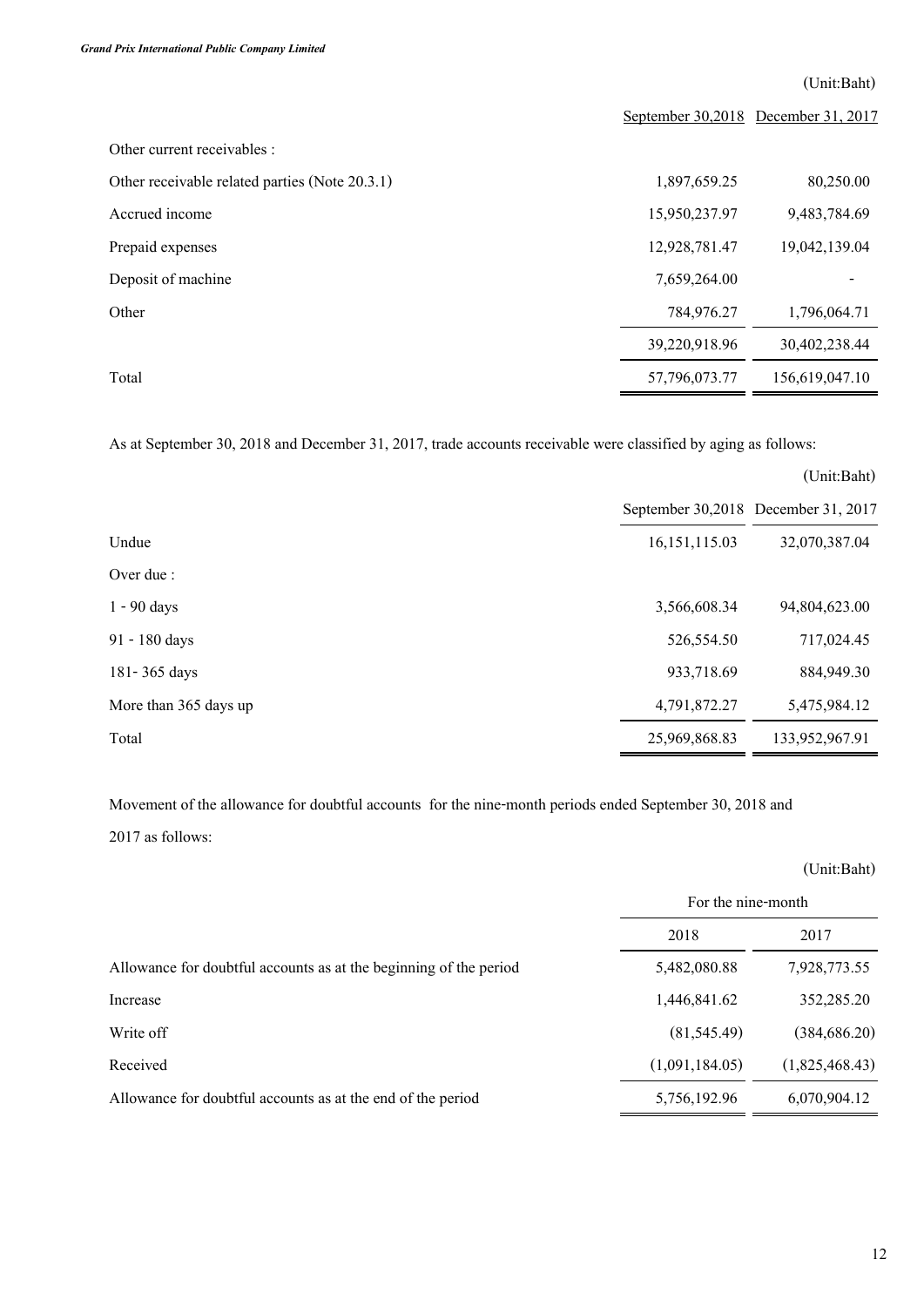**(Unit:Baht)**

|                                                |               | September 30,2018 December 31, 2017 |
|------------------------------------------------|---------------|-------------------------------------|
| Other current receivables :                    |               |                                     |
| Other receivable related parties (Note 20.3.1) | 1,897,659.25  | 80,250.00                           |
| Accrued income                                 | 15,950,237.97 | 9,483,784.69                        |
| Prepaid expenses                               | 12,928,781.47 | 19,042,139.04                       |
| Deposit of machine                             | 7,659,264.00  |                                     |
| Other                                          | 784,976.27    | 1,796,064.71                        |
|                                                | 39,220,918.96 | 30,402,238.44                       |
| Total                                          | 57,796,073.77 | 156,619,047.10                      |

**As at September 30, 2018 and December 31, 2017, trade accounts receivable were classified by aging as follows:**

|                       |                 | (Unit:Baht)                         |
|-----------------------|-----------------|-------------------------------------|
|                       |                 | September 30,2018 December 31, 2017 |
| Undue                 | 16, 151, 115.03 | 32,070,387.04                       |
| Over due :            |                 |                                     |
| $1 - 90$ days         | 3,566,608.34    | 94,804,623.00                       |
| 91 - 180 days         | 526,554.50      | 717,024.45                          |
| 181-365 days          | 933,718.69      | 884,949.30                          |
| More than 365 days up | 4,791,872.27    | 5,475,984.12                        |
| Total                 | 25,969,868.83   | 133,952,967.91                      |

**Movement of the allowance for doubtful accounts for the nine-month periods ended September 30, 2018 and** 

**<sup>2017</sup> as follows:**

|                                                                   | (Unit:Baht)        |                |
|-------------------------------------------------------------------|--------------------|----------------|
|                                                                   | For the nine-month |                |
|                                                                   | 2018               | 2017           |
| Allowance for doubtful accounts as at the beginning of the period | 5,482,080.88       | 7,928,773.55   |
| Increase                                                          | 1,446,841.62       | 352,285.20     |
| Write off                                                         | (81, 545.49)       | (384, 686.20)  |
| Received                                                          | (1,091,184.05)     | (1,825,468.43) |
| Allowance for doubtful accounts as at the end of the period       | 5,756,192.96       | 6,070,904.12   |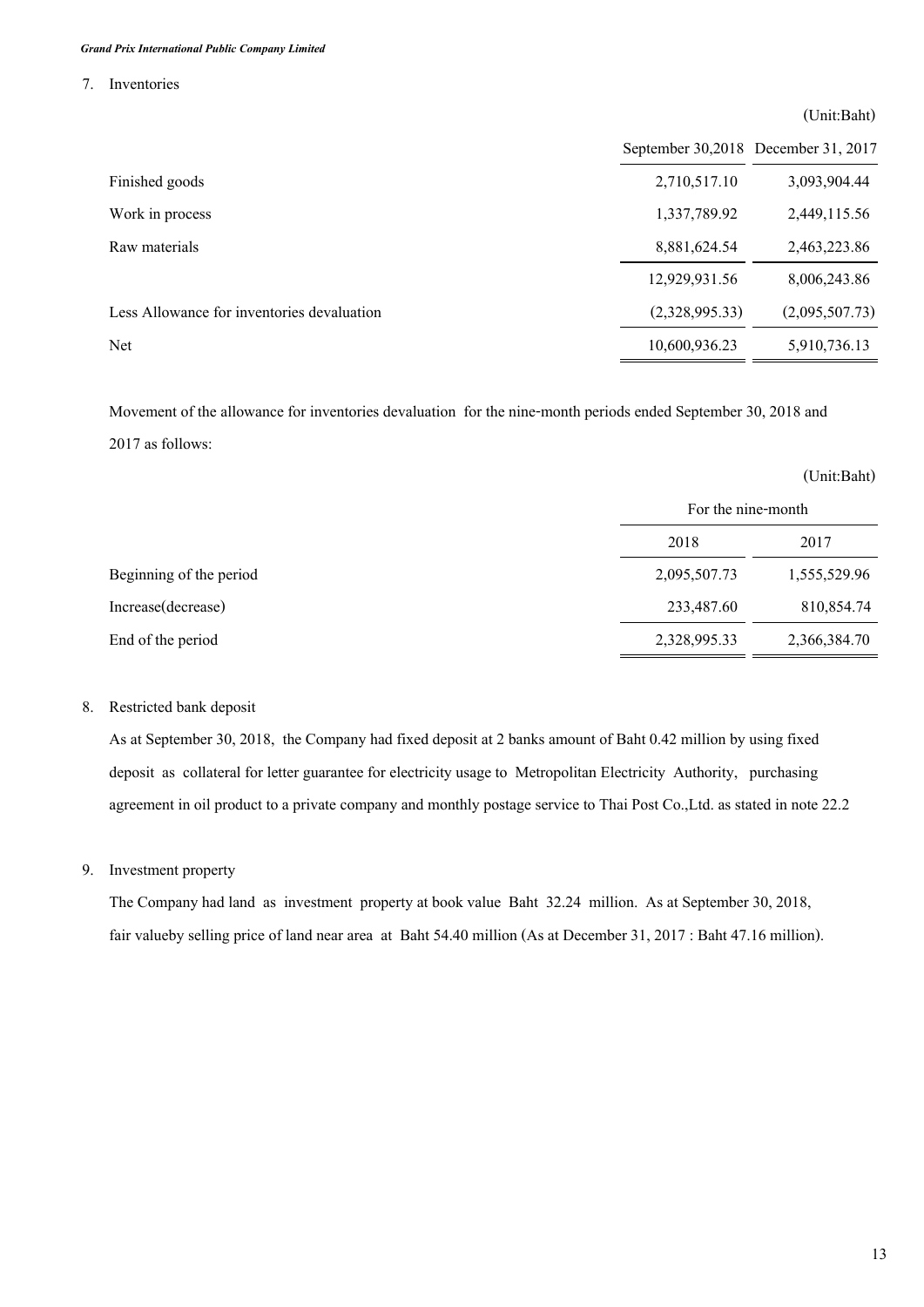**7. Inventories**

|                                            | September 30,2018 December 31, 2017 |                |
|--------------------------------------------|-------------------------------------|----------------|
| Finished goods                             | 2,710,517.10                        | 3,093,904.44   |
| Work in process                            | 1,337,789.92                        | 2,449,115.56   |
| Raw materials                              | 8,881,624.54                        | 2,463,223.86   |
|                                            | 12,929,931.56                       | 8,006,243.86   |
| Less Allowance for inventories devaluation | (2,328,995.33)                      | (2,095,507.73) |
| <b>Net</b>                                 | 10,600,936.23                       | 5,910,736.13   |

**Movement of the allowance for inventories devaluation for the nine-month periods ended September 30, 2018 and 2017 as follows:**

|                         | (Unit:Baht)        |              |
|-------------------------|--------------------|--------------|
|                         | For the nine-month |              |
|                         | 2018               | 2017         |
| Beginning of the period | 2,095,507.73       | 1,555,529.96 |
| Increase(decrease)      | 233,487.60         | 810,854.74   |
| End of the period       | 2,328,995.33       | 2,366,384.70 |

# **8. Restricted bank deposit**

**As at September 30, 2018, the Company had fixed deposit at 2 banks amount of Baht 0.42 million by using fixed deposit as collateral for letter guarantee for electricity usage to Metropolitan Electricity Authority, purchasing agreement in oil product to a private company and monthly postage service to Thai Post Co.,Ltd. as stated in note 22.2**

## **9. Investment property**

**The Company had land as investment property at book value Baht 32.24 million. As at September 30, 2018, fair valueby selling price of land near area at Baht 54.40 million (As at December 31, 2017 : Baht 47.16 million).**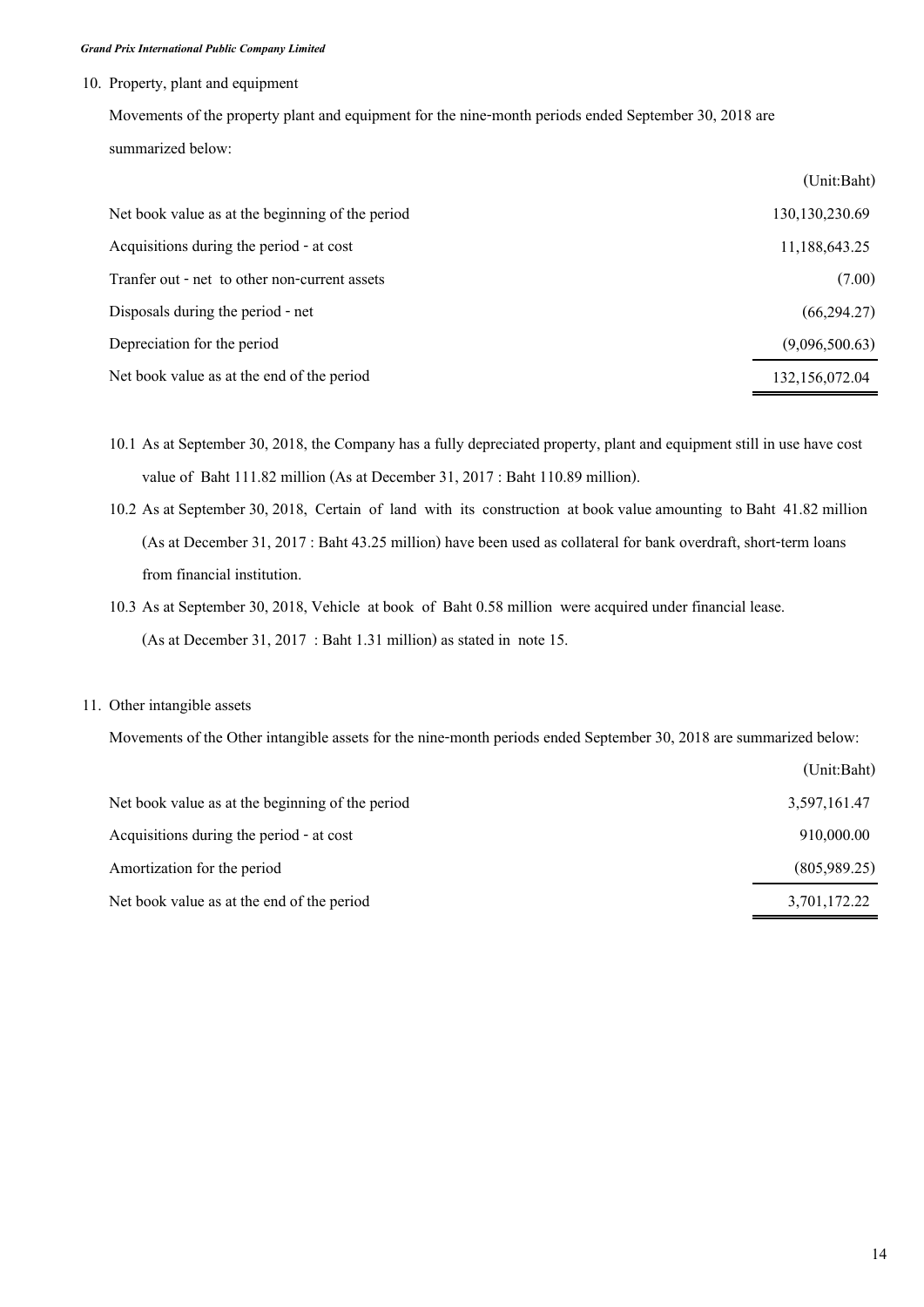## **10. Property, plant and equipment**

**Movements of the property plant and equipment for the nine-month periods ended September 30, 2018 are summarized below:**

|                                                  | (Unit:Baht)      |
|--------------------------------------------------|------------------|
| Net book value as at the beginning of the period | 130, 130, 230.69 |
| Acquisitions during the period - at cost         | 11,188,643.25    |
| Tranfer out - net to other non-current assets    | (7.00)           |
| Disposals during the period - net                | (66, 294.27)     |
| Depreciation for the period                      | (9,096,500.63)   |
| Net book value as at the end of the period       | 132,156,072.04   |

- **10.1 As at September 30, 2018, the Company has a fully depreciated property, plant and equipment still in use have cost value of Baht 111.82 million (As at December 31, 2017 : Baht 110.89 million).**
- **10.2 As at September 30, 2018, Certain of land with its construction at book value amounting to Baht 41.82 million (As at December 31, 2017 : Baht 43.25 million) have been used as collateral for bank overdraft, short-term loans from financial institution.**
- **10.3 As at September 30, 2018, Vehicle at book of Baht 0.58 million were acquired under financial lease. (As at December 31, 2017 : Baht 1.31 million) as stated in note 15.**

## **11. Other intangible assets**

**Movements of the Other intangible assets for the nine-month periods ended September 30, 2018 are summarized below:** 

|                                                  | (Unit:Baht)  |
|--------------------------------------------------|--------------|
| Net book value as at the beginning of the period | 3,597,161.47 |
| Acquisitions during the period - at cost         | 910,000.00   |
| Amortization for the period                      | (805,989.25) |
| Net book value as at the end of the period       | 3,701,172.22 |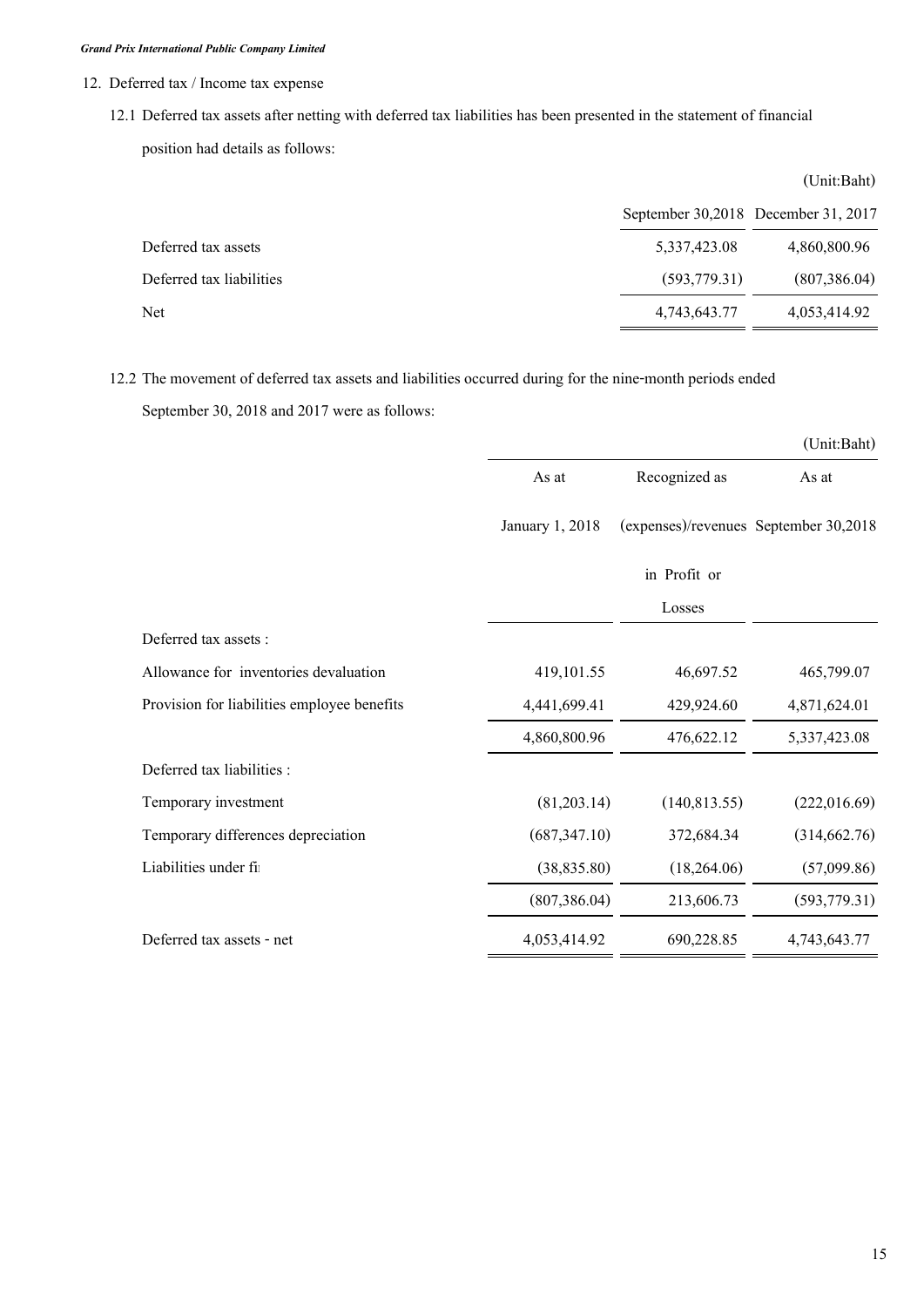- **12. Deferred tax / Income tax expense** 
	- **12.1 Deferred tax assets after netting with deferred tax liabilities has been presented in the statement of financial**

**position had details as follows:**

|                          |               | (Unit:Baht)                         |
|--------------------------|---------------|-------------------------------------|
|                          |               | September 30,2018 December 31, 2017 |
| Deferred tax assets      | 5,337,423.08  | 4,860,800.96                        |
| Deferred tax liabilities | (593, 779.31) | (807,386.04)                        |
| Net                      | 4,743,643.77  | 4,053,414.92                        |

**12.2 The movement of deferred tax assets and liabilities occurred during for the nine-month periods ended** 

**September 30, 2018 and 2017 were as follows:**

|                                             |                 |                                       | (Unit:Baht)   |
|---------------------------------------------|-----------------|---------------------------------------|---------------|
|                                             | As at           | Recognized as                         | As at         |
|                                             | January 1, 2018 | (expenses)/revenues September 30,2018 |               |
|                                             |                 | in Profit or                          |               |
|                                             |                 | Losses                                |               |
| Deferred tax assets :                       |                 |                                       |               |
| Allowance for inventories devaluation       | 419,101.55      | 46,697.52                             | 465,799.07    |
| Provision for liabilities employee benefits | 4,441,699.41    | 429,924.60                            | 4,871,624.01  |
|                                             | 4,860,800.96    | 476,622.12                            | 5,337,423.08  |
| Deferred tax liabilities :                  |                 |                                       |               |
| Temporary investment                        | (81,203.14)     | (140, 813.55)                         | (222,016.69)  |
| Temporary differences depreciation          | (687, 347.10)   | 372,684.34                            | (314, 662.76) |
| Liabilities under fi                        | (38, 835.80)    | (18,264.06)                           | (57,099.86)   |
|                                             | (807, 386.04)   | 213,606.73                            | (593, 779.31) |
| Deferred tax assets - net                   | 4,053,414.92    | 690,228.85                            | 4,743,643.77  |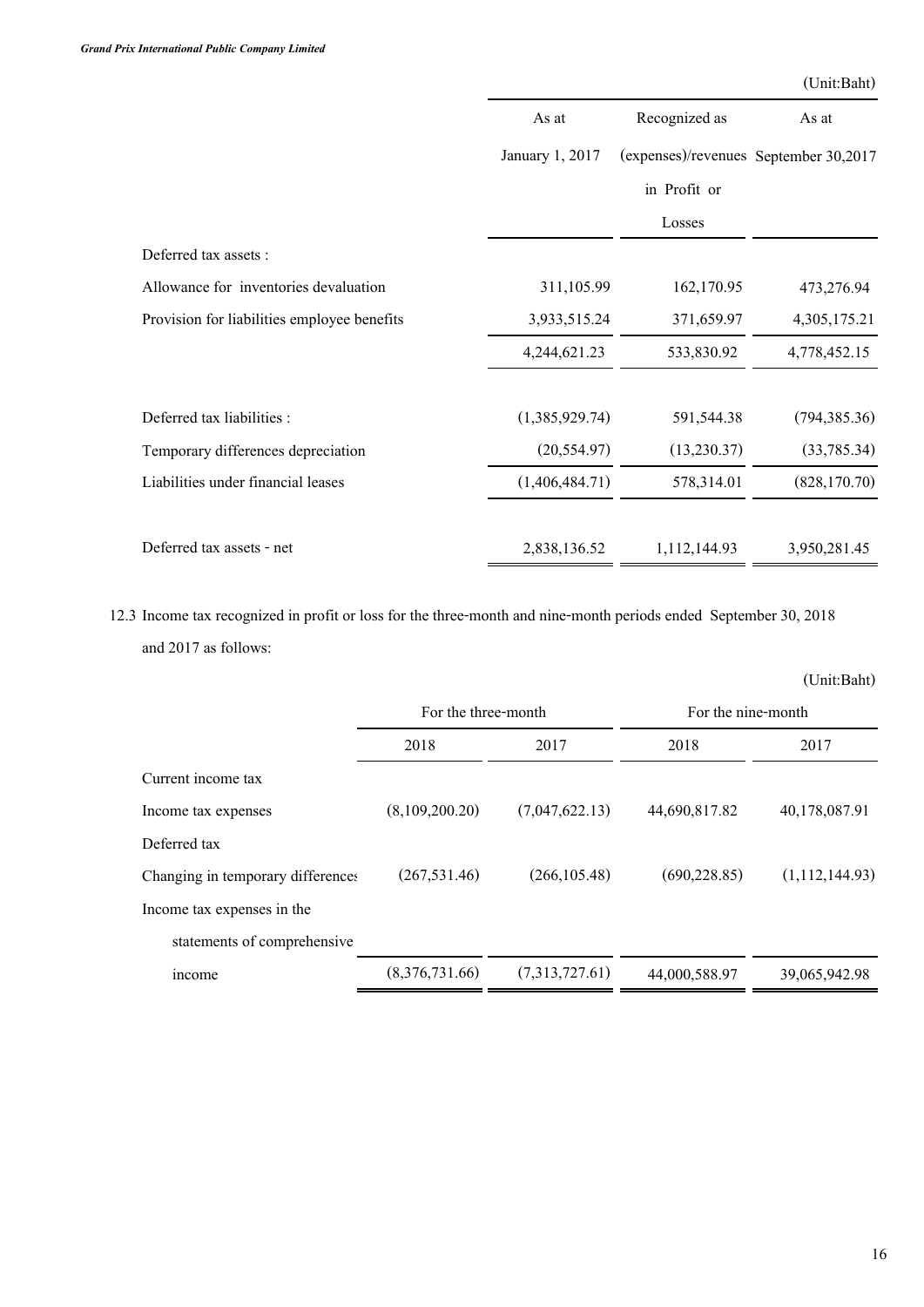|                                             | As at           | Recognized as                         | As at         |
|---------------------------------------------|-----------------|---------------------------------------|---------------|
|                                             | January 1, 2017 | (expenses)/revenues September 30,2017 |               |
|                                             |                 | in Profit or                          |               |
|                                             |                 | Losses                                |               |
| Deferred tax assets :                       |                 |                                       |               |
| Allowance for inventories devaluation       | 311,105.99      | 162,170.95                            | 473,276.94    |
| Provision for liabilities employee benefits | 3,933,515.24    | 371,659.97                            | 4,305,175.21  |
|                                             | 4,244,621.23    | 533,830.92                            | 4,778,452.15  |
| Deferred tax liabilities :                  | (1,385,929.74)  | 591,544.38                            | (794, 385.36) |
| Temporary differences depreciation          | (20, 554.97)    | (13,230.37)                           | (33,785.34)   |
| Liabilities under financial leases          | (1,406,484.71)  | 578,314.01                            | (828, 170.70) |
| Deferred tax assets - net                   | 2,838,136.52    | 1,112,144.93                          | 3,950,281.45  |

**12.3 Income tax recognized in profit or loss for the three-month and nine-month periods ended September 30, 2018 and 2017 as follows:**

|                                   |                     |                |                    | (Unit:Baht)    |
|-----------------------------------|---------------------|----------------|--------------------|----------------|
|                                   | For the three-month |                | For the nine-month |                |
|                                   | 2018                | 2017           | 2018               | 2017           |
| Current income tax                |                     |                |                    |                |
| Income tax expenses               | (8,109,200.20)      | (7,047,622.13) | 44,690,817.82      | 40,178,087.91  |
| Deferred tax                      |                     |                |                    |                |
| Changing in temporary differences | (267, 531.46)       | (266, 105.48)  | (690, 228.85)      | (1,112,144.93) |
| Income tax expenses in the        |                     |                |                    |                |
| statements of comprehensive       |                     |                |                    |                |
| <i>ncome</i>                      | (8,376,731.66)      | (7,313,727.61) | 44,000,588.97      | 39,065,942.98  |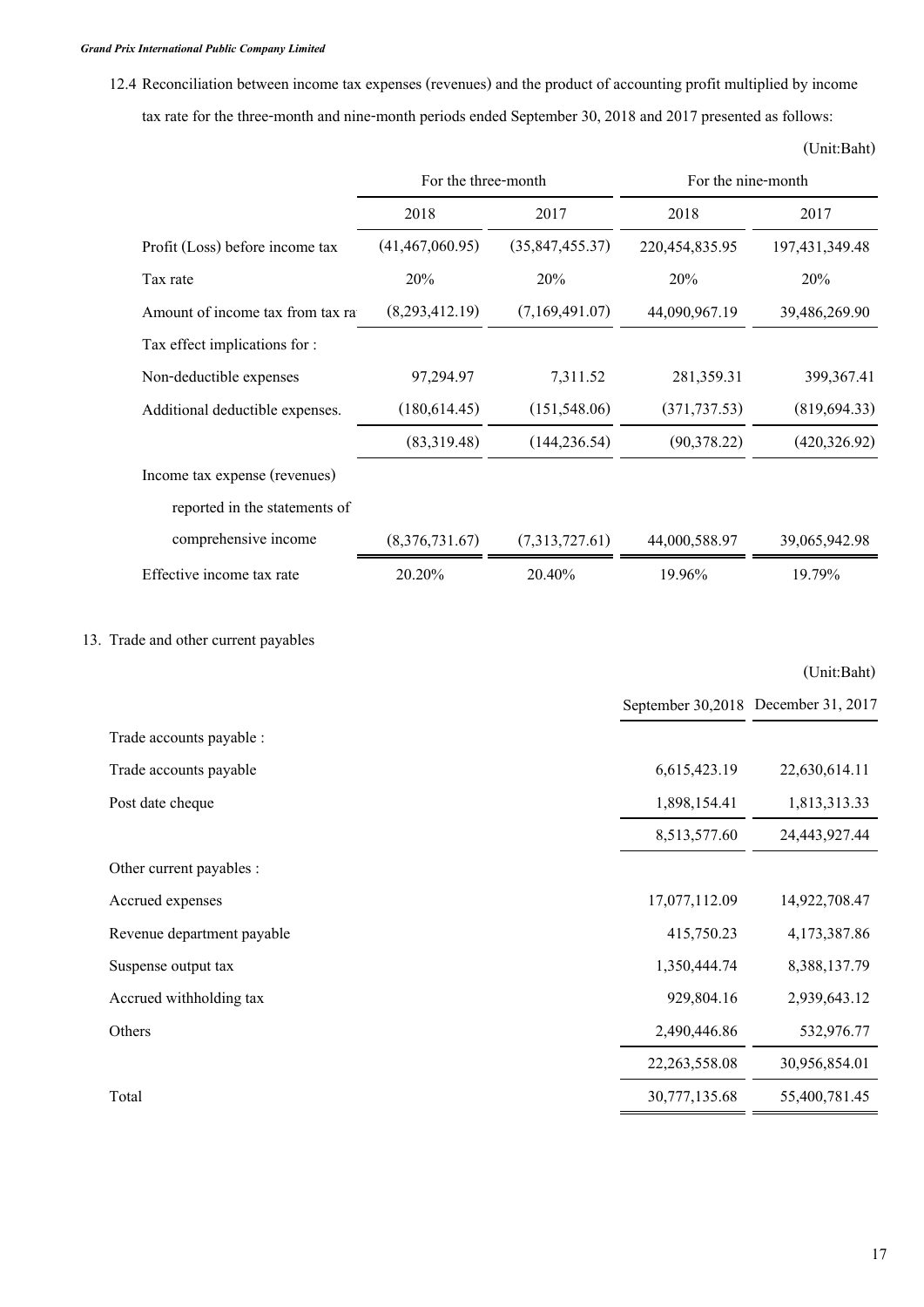**12.4 Reconciliation between income tax expenses (revenues) and the product of accounting profit multiplied by income tax rate for the three-month and nine-month periods ended September 30, 2018 and 2017 presented as follows:**

|                                  | For the three-month |                   | For the nine-month |                |
|----------------------------------|---------------------|-------------------|--------------------|----------------|
|                                  | 2018                | 2017              | 2018               | 2017           |
| Profit (Loss) before income tax  | (41, 467, 060.95)   | (35, 847, 455.37) | 220,454,835.95     | 197,431,349.48 |
| Tax rate                         | 20%                 | 20%               | 20%                | 20%            |
| Amount of income tax from tax ra | (8,293,412.19)      | (7,169,491.07)    | 44,090,967.19      | 39,486,269.90  |
| Tax effect implications for :    |                     |                   |                    |                |
| Non-deductible expenses          | 97,294.97           | 7,311.52          | 281,359.31         | 399,367.41     |
| Additional deductible expenses.  | (180, 614.45)       | (151, 548.06)     | (371, 737.53)      | (819, 694.33)  |
|                                  | (83,319.48)         | (144, 236.54)     | (90, 378.22)       | (420, 326.92)  |
| Income tax expense (revenues)    |                     |                   |                    |                |
| reported in the statements of    |                     |                   |                    |                |
| comprehensive income             | (8,376,731.67)      | (7,313,727.61)    | 44,000,588.97      | 39,065,942.98  |
| Effective income tax rate        | 20.20%              | 20.40%            | 19.96%             | 19.79%         |

# **13. Trade and other current payables**

|                            |                  | September 30,2018 December 31, 2017 |
|----------------------------|------------------|-------------------------------------|
| Trade accounts payable :   |                  |                                     |
| Trade accounts payable     | 6,615,423.19     | 22,630,614.11                       |
| Post date cheque           | 1,898,154.41     | 1,813,313.33                        |
|                            | 8,513,577.60     | 24,443,927.44                       |
| Other current payables :   |                  |                                     |
| Accrued expenses           | 17,077,112.09    | 14,922,708.47                       |
| Revenue department payable | 415,750.23       | 4,173,387.86                        |
| Suspense output tax        | 1,350,444.74     | 8,388,137.79                        |
| Accrued withholding tax    | 929,804.16       | 2,939,643.12                        |
| Others                     | 2,490,446.86     | 532,976.77                          |
|                            | 22, 263, 558. 08 | 30,956,854.01                       |
| Total                      | 30,777,135.68    | 55,400,781.45                       |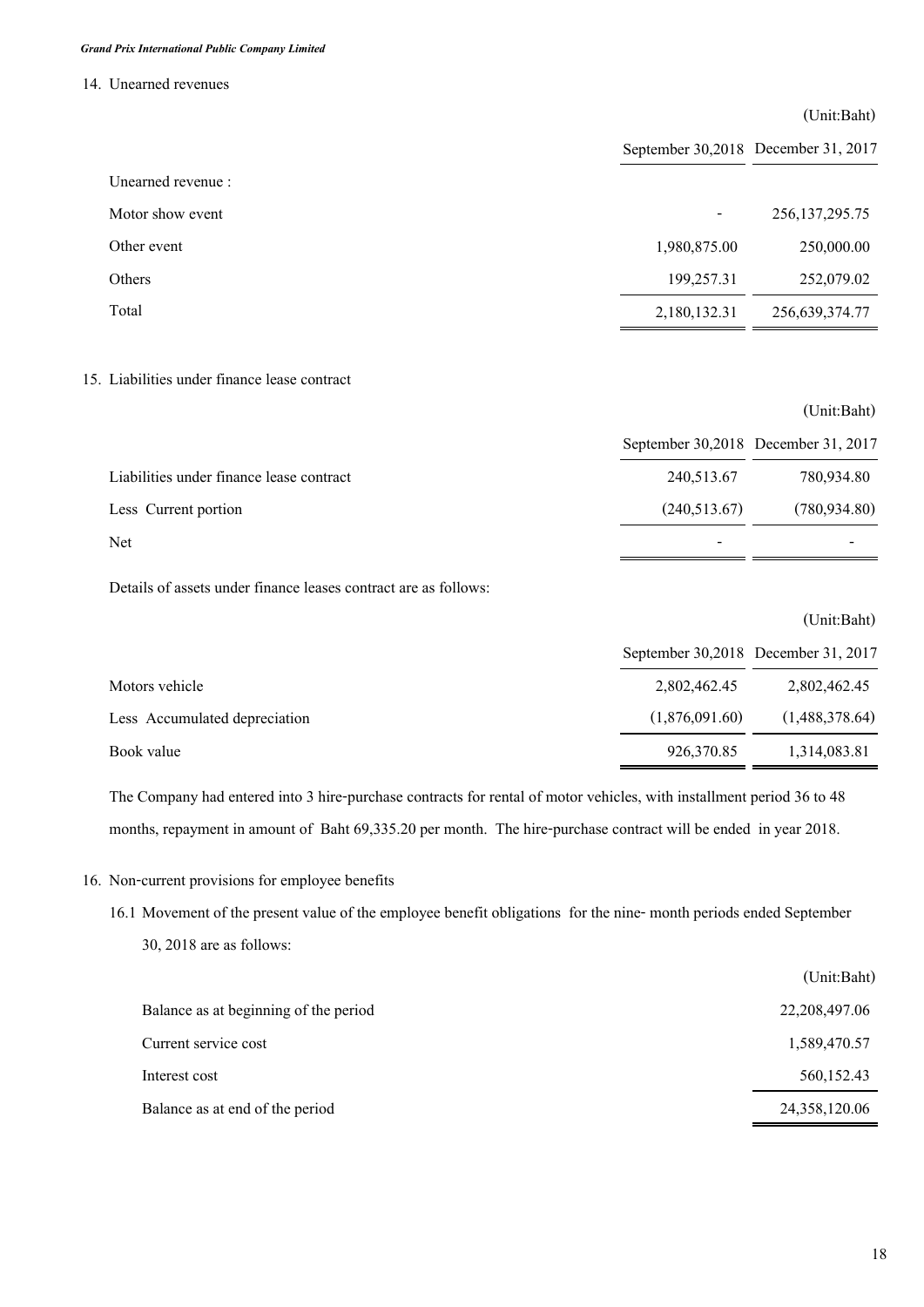### **14. Unearned revenues**

|                   |              | (Unit:Baht)                         |
|-------------------|--------------|-------------------------------------|
|                   |              | September 30,2018 December 31, 2017 |
| Unearned revenue: |              |                                     |
| Motor show event  |              | 256, 137, 295. 75                   |
| Other event       | 1,980,875.00 | 250,000.00                          |
| Others            | 199,257.31   | 252,079.02                          |
| Total             | 2,180,132.31 | 256,639,374.77                      |
|                   |              |                                     |

## **15. Liabilities under finance lease contract**

|                                          | September 30,2018 December 31, 2017 |               |
|------------------------------------------|-------------------------------------|---------------|
| Liabilities under finance lease contract | 240,513.67                          | 780,934.80    |
| Less Current portion                     | (240, 513.67)                       | (780, 934.80) |
| Net                                      | $\,$                                |               |

**Details of assets under finance leases contract are as follows:**

|                               |                                     | (Unit:Baht)    |
|-------------------------------|-------------------------------------|----------------|
|                               | September 30,2018 December 31, 2017 |                |
| Motors vehicle                | 2,802,462.45                        | 2,802,462.45   |
| Less Accumulated depreciation | (1,876,091.60)                      | (1,488,378.64) |
| Book value                    | 926,370.85                          | 1,314,083.81   |

**The Company had entered into 3 hire-purchase contracts for rental of motor vehicles, with installment period 36 to 48 months, repayment in amount of Baht 69,335.20 per month. The hire-purchase contract will be ended in year 2018.**

**16. Non-current provisions for employee benefits** 

**16.1 Movement of the present value of the employee benefit obligations for the nine- month periods ended September 30, 2018 are as follows:**

|                                       | (Unit:Baht)     |
|---------------------------------------|-----------------|
| Balance as at beginning of the period | 22, 208, 497.06 |
| Current service cost                  | 1,589,470.57    |
| Interest cost                         | 560,152.43      |
| Balance as at end of the period       | 24,358,120.06   |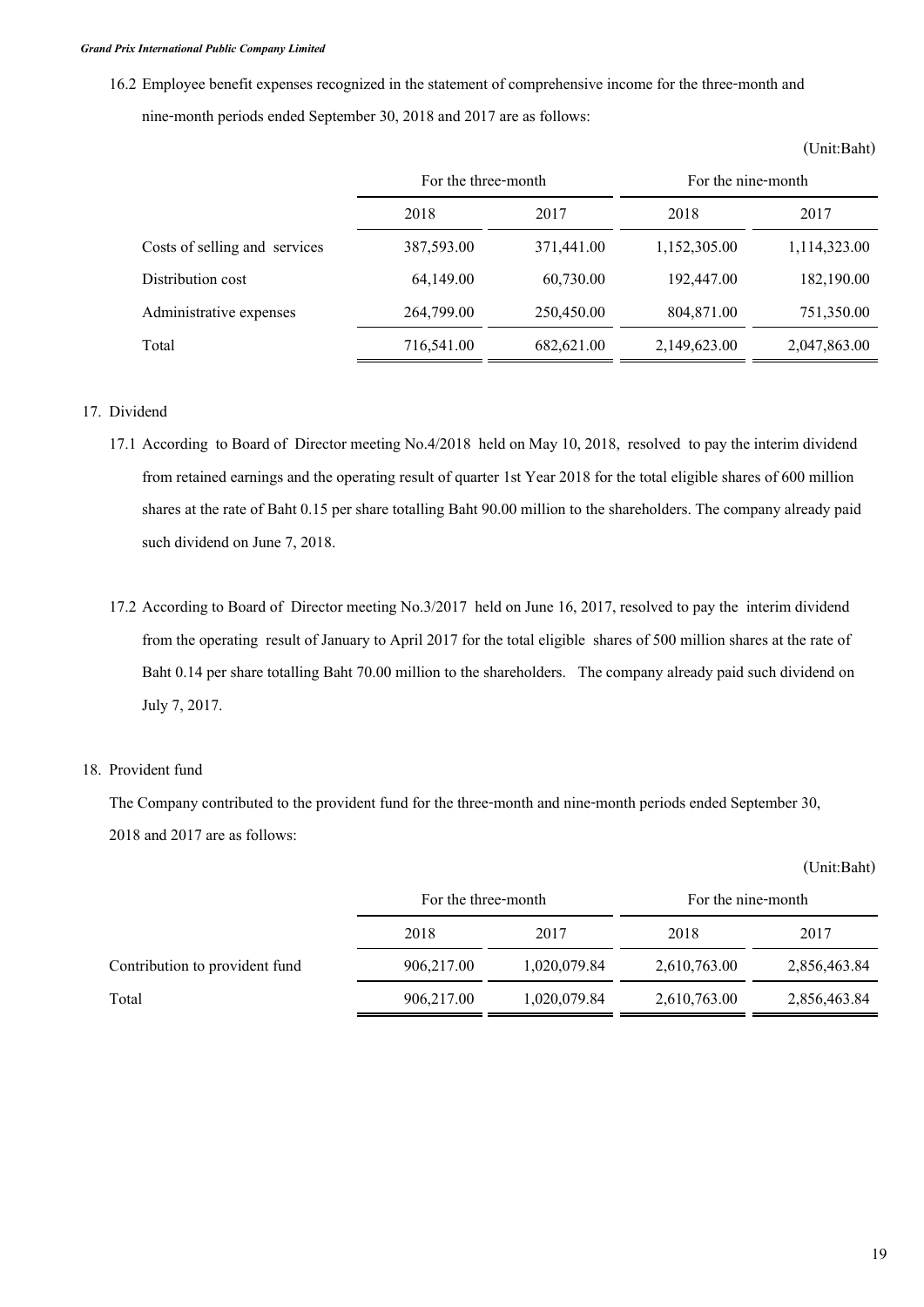**16.2 Employee benefit expenses recognized in the statement of comprehensive income for the three-month and nine-month periods ended September 30, 2018 and 2017 are as follows:**

|                               | For the three-month |            | For the nine-month |              |
|-------------------------------|---------------------|------------|--------------------|--------------|
|                               | 2018                | 2017       | 2018               | 2017         |
| Costs of selling and services | 387,593.00          | 371,441.00 | 1,152,305.00       | 1,114,323.00 |
| Distribution cost             | 64,149.00           | 60,730.00  | 192,447.00         | 182,190.00   |
| Administrative expenses       | 264,799.00          | 250,450.00 | 804,871.00         | 751,350.00   |
| Total                         | 716,541.00          | 682,621.00 | 2,149,623.00       | 2,047,863.00 |

#### **(Unit:Baht)**

### **17. Dividend**

- **17.1 According to Board of Director meeting No.4/2018 held on May 10, 2018, resolved to pay the interim dividend from retained earnings and the operating result of quarter 1st Year 2018 for the total eligible shares of 600 million shares at the rate of Baht 0.15 per share totalling Baht 90.00 million to the shareholders. The company already paid such dividend on June 7, 2018.**
- **17.2 According to Board of Director meeting No.3/2017 held on June 16, 2017, resolved to pay the interim dividend from the operating result of January to April 2017 for the total eligible shares of 500 million shares at the rate of Baht 0.14 per share totalling Baht 70.00 million to the shareholders. The company already paid such dividend on July 7, 2017.**

### **18. Provident fund**

**The Company contributed to the provident fund for the three-month and nine-month periods ended September 30, 2018 and 2017 are as follows:**

|                                | For the three-month |              | For the nine-month |              |
|--------------------------------|---------------------|--------------|--------------------|--------------|
|                                | 2018                | 2017         | 2018               | 2017         |
| Contribution to provident fund | 906,217.00          | 1,020,079.84 | 2,610,763.00       | 2,856,463.84 |
| Total                          | 906,217.00          | 1,020,079.84 | 2,610,763.00       | 2,856,463.84 |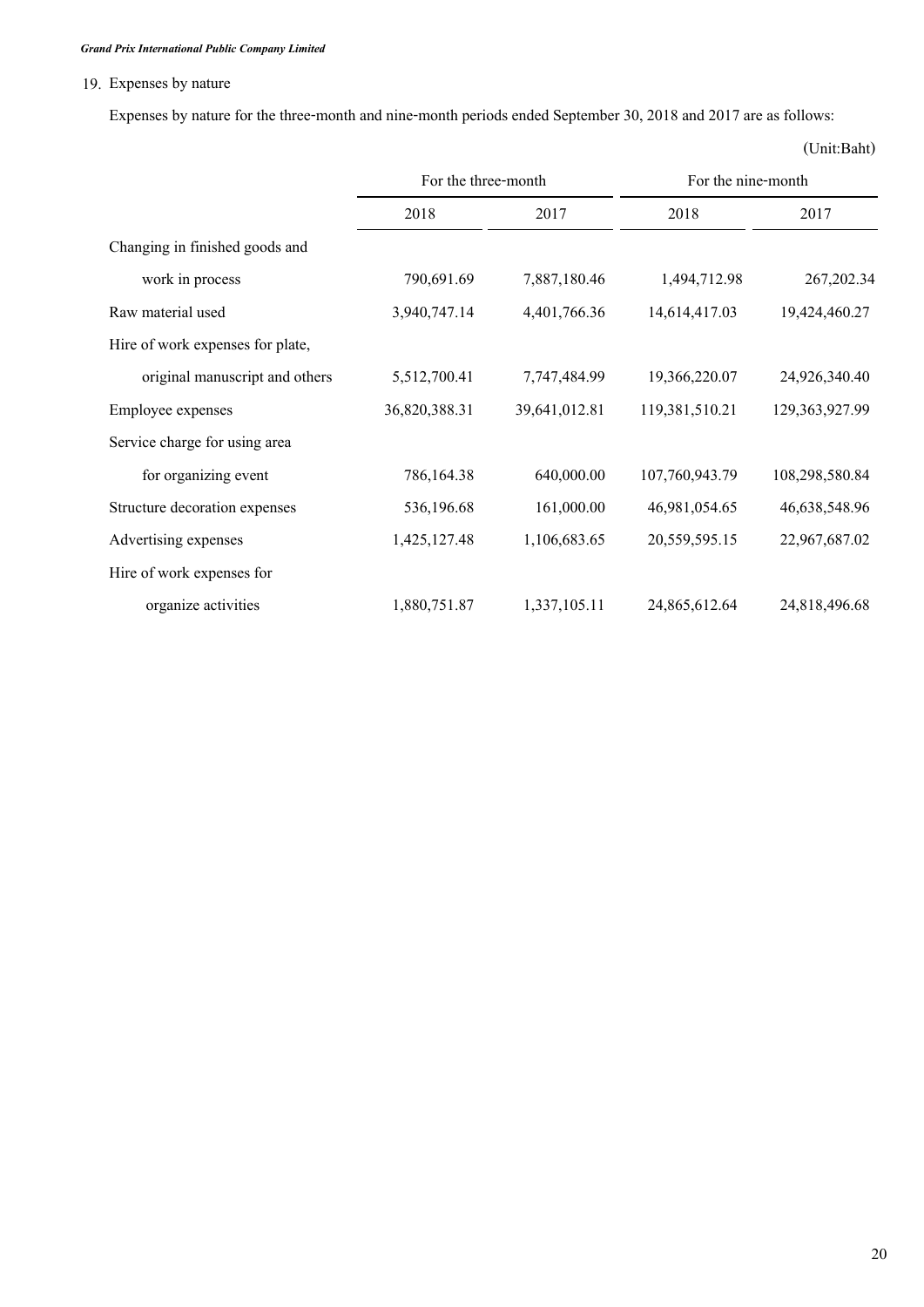# **19. Expenses by nature**

**Expenses by nature for the three-month and nine-month periods ended September 30, 2018 and 2017 are as follows:**

|                                  | For the three-month |               | For the nine-month |                   |
|----------------------------------|---------------------|---------------|--------------------|-------------------|
|                                  | 2018                | 2017          | 2018               | 2017              |
| Changing in finished goods and   |                     |               |                    |                   |
| work in process                  | 790,691.69          | 7,887,180.46  | 1,494,712.98       | 267, 202.34       |
| Raw material used                | 3,940,747.14        | 4,401,766.36  | 14,614,417.03      | 19,424,460.27     |
| Hire of work expenses for plate, |                     |               |                    |                   |
| original manuscript and others   | 5,512,700.41        | 7,747,484.99  | 19,366,220.07      | 24,926,340.40     |
| Employee expenses                | 36,820,388.31       | 39,641,012.81 | 119,381,510.21     | 129, 363, 927. 99 |
| Service charge for using area    |                     |               |                    |                   |
| for organizing event             | 786,164.38          | 640,000.00    | 107,760,943.79     | 108,298,580.84    |
| Structure decoration expenses    | 536,196.68          | 161,000.00    | 46,981,054.65      | 46,638,548.96     |
| Advertising expenses             | 1,425,127.48        | 1,106,683.65  | 20,559,595.15      | 22,967,687.02     |
| Hire of work expenses for        |                     |               |                    |                   |
| organize activities              | 1,880,751.87        | 1,337,105.11  | 24,865,612.64      | 24,818,496.68     |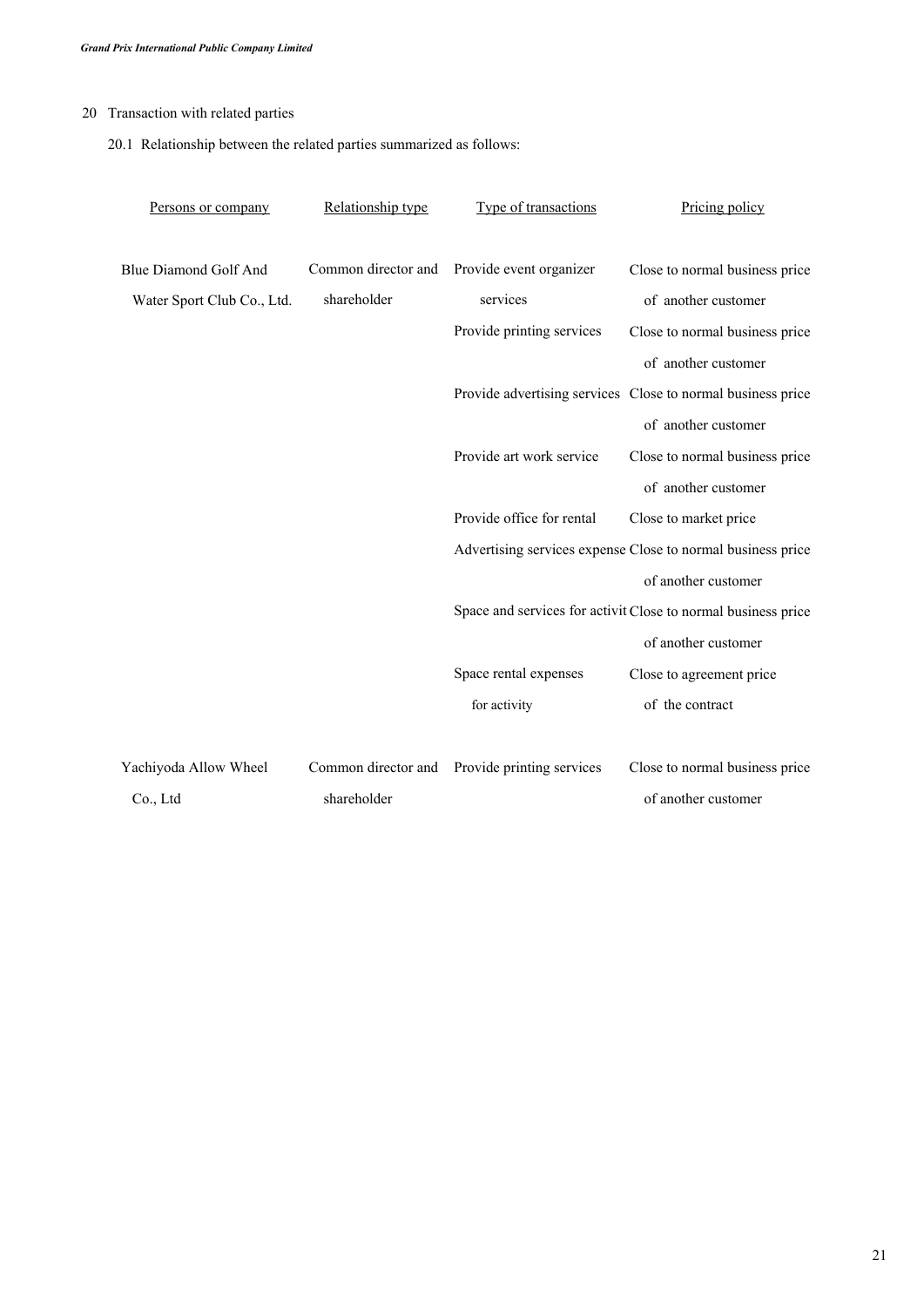# **20 Transaction with related parties**

**20.1 Relationship between the related parties summarized as follows:** 

| Persons or company           | Relationship type   | Type of transactions      | Pricing policy                                                |
|------------------------------|---------------------|---------------------------|---------------------------------------------------------------|
|                              |                     |                           |                                                               |
| <b>Blue Diamond Golf And</b> | Common director and | Provide event organizer   | Close to normal business price                                |
| Water Sport Club Co., Ltd.   | shareholder         | services                  | of another customer                                           |
|                              |                     | Provide printing services | Close to normal business price                                |
|                              |                     |                           | of another customer                                           |
|                              |                     |                           | Provide advertising services Close to normal business price   |
|                              |                     |                           | of another customer                                           |
|                              |                     | Provide art work service  | Close to normal business price                                |
|                              |                     |                           | of another customer                                           |
|                              |                     | Provide office for rental | Close to market price                                         |
|                              |                     |                           | Advertising services expense Close to normal business price   |
|                              |                     |                           | of another customer                                           |
|                              |                     |                           | Space and services for activit Close to normal business price |
|                              |                     |                           | of another customer                                           |
|                              |                     | Space rental expenses     | Close to agreement price                                      |
|                              |                     | for activity              | of the contract                                               |
|                              |                     |                           |                                                               |
| Yachiyoda Allow Wheel        | Common director and | Provide printing services | Close to normal business price                                |
| Co., Ltd                     | shareholder         |                           | of another customer                                           |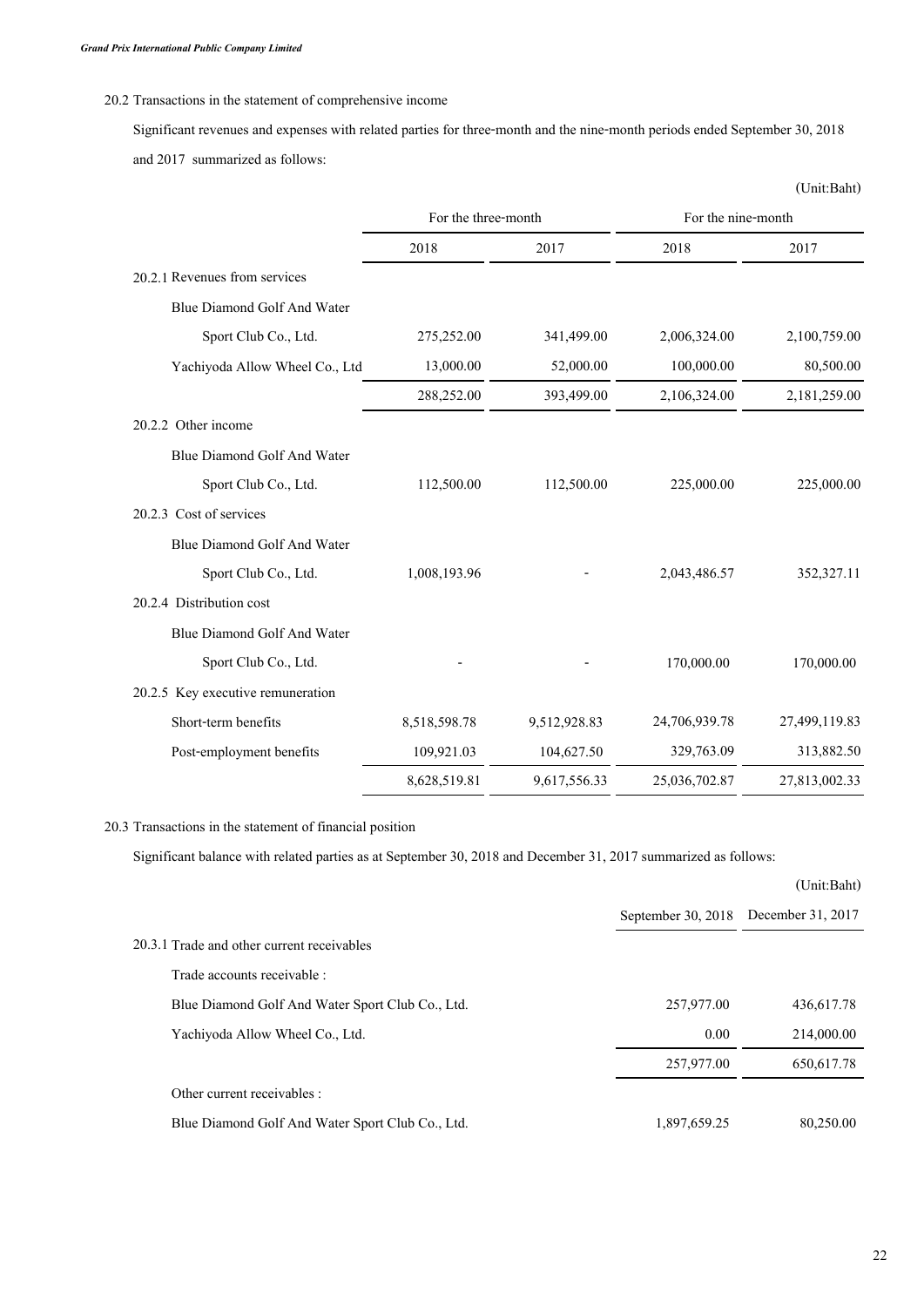## **20.2 Transactions in the statement of comprehensive income**

**Significant revenues and expenses with related parties for three-month and the nine-month periods ended September 30, 2018 and 2017 summarized as follows:**

|                                   |                     |              |                    | (Unit:Baht)   |
|-----------------------------------|---------------------|--------------|--------------------|---------------|
|                                   | For the three-month |              | For the nine-month |               |
|                                   | 2018                | 2017         | 2018               | 2017          |
| 20.2.1 Revenues from services     |                     |              |                    |               |
| Blue Diamond Golf And Water       |                     |              |                    |               |
| Sport Club Co., Ltd.              | 275,252.00          | 341,499.00   | 2,006,324.00       | 2,100,759.00  |
| Yachiyoda Allow Wheel Co., Ltd    | 13,000.00           | 52,000.00    | 100,000.00         | 80,500.00     |
|                                   | 288,252.00          | 393,499.00   | 2,106,324.00       | 2,181,259.00  |
| 20.2.2 Other income               |                     |              |                    |               |
| Blue Diamond Golf And Water       |                     |              |                    |               |
| Sport Club Co., Ltd.              | 112,500.00          | 112,500.00   | 225,000.00         | 225,000.00    |
| 20.2.3 Cost of services           |                     |              |                    |               |
| Blue Diamond Golf And Water       |                     |              |                    |               |
| Sport Club Co., Ltd.              | 1,008,193.96        |              | 2,043,486.57       | 352,327.11    |
| 20.2.4 Distribution cost          |                     |              |                    |               |
| Blue Diamond Golf And Water       |                     |              |                    |               |
| Sport Club Co., Ltd.              |                     |              | 170,000.00         | 170,000.00    |
| 20.2.5 Key executive remuneration |                     |              |                    |               |
| Short-term benefits               | 8,518,598.78        | 9,512,928.83 | 24,706,939.78      | 27,499,119.83 |
| Post-employment benefits          | 109,921.03          | 104,627.50   | 329,763.09         | 313,882.50    |
|                                   | 8,628,519.81        | 9,617,556.33 | 25,036,702.87      | 27,813,002.33 |

### **20.3 Transactions in the statement of financial position**

**Significant balance with related parties as at September 30, 2018 and December 31, 2017 summarized as follows:**

|                                                  |                      | (Unit:Baht)       |
|--------------------------------------------------|----------------------|-------------------|
|                                                  | September 30, $2018$ | December 31, 2017 |
| 20.3.1 Trade and other current receivables       |                      |                   |
| Trade accounts receivable :                      |                      |                   |
| Blue Diamond Golf And Water Sport Club Co., Ltd. | 257,977.00           | 436,617.78        |
| Yachiyoda Allow Wheel Co., Ltd.                  | 0.00                 | 214,000.00        |
|                                                  | 257,977.00           | 650,617.78        |
| Other current receivables :                      |                      |                   |
| Blue Diamond Golf And Water Sport Club Co., Ltd. | 1,897,659.25         | 80,250.00         |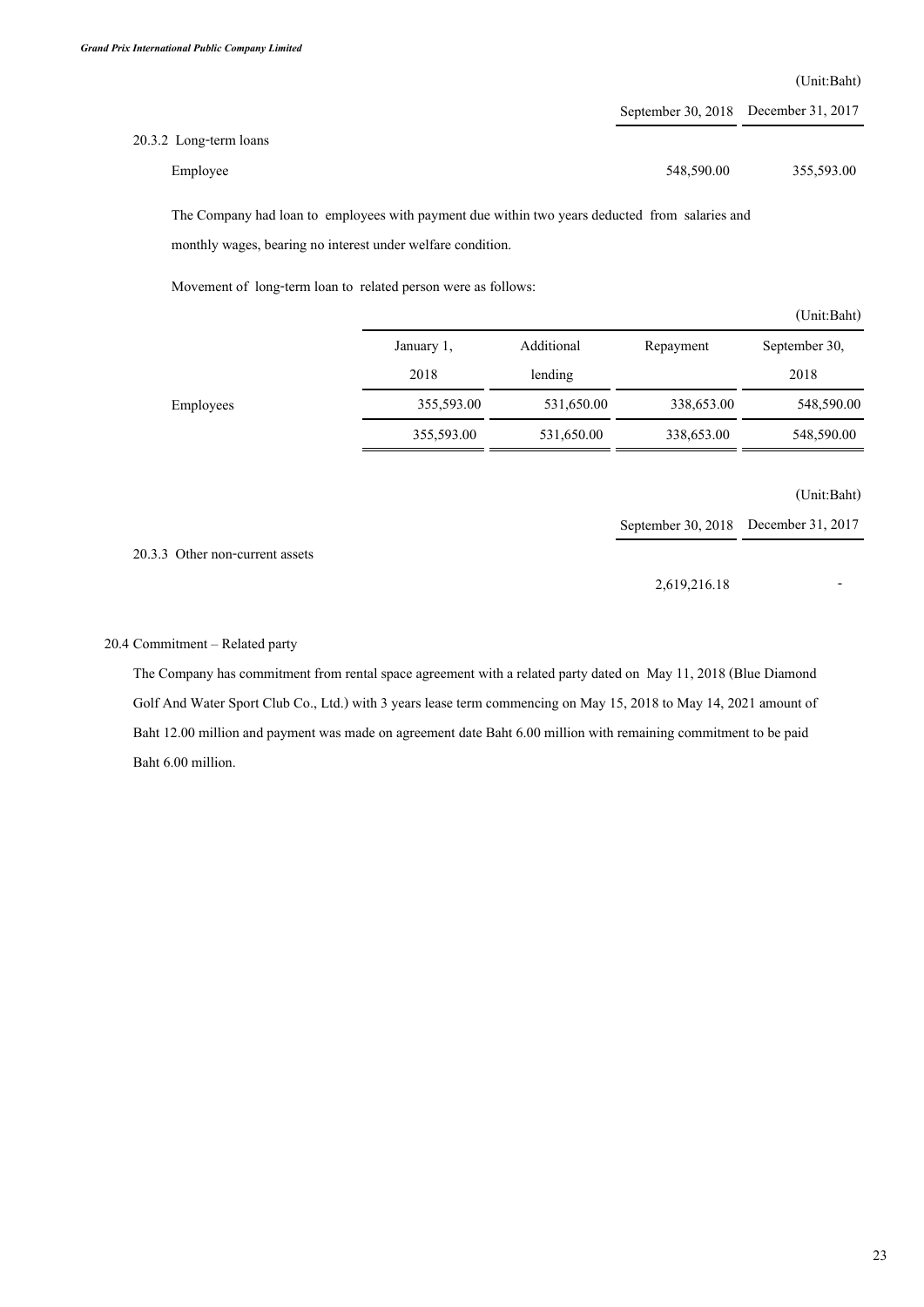**(Unit:Baht)**

|                        | September 30, 2018 December 31, 2017 |            |
|------------------------|--------------------------------------|------------|
| 20.3.2 Long-term loans |                                      |            |
| Employee               | 548,590.00                           | 355,593.00 |

**The Company had loan to employees with payment due within two years deducted from salaries and monthly wages, bearing no interest under welfare condition.** 

**Movement of long-term loan to related person were as follows:**

|           |            |            |            | (Unit:Baht)   |
|-----------|------------|------------|------------|---------------|
|           | January 1, | Additional | Repayment  | September 30, |
|           | 2018       | lending    |            | 2018          |
| Employees | 355,593.00 | 531,650.00 | 338,653.00 | 548,590.00    |
|           | 355,593.00 | 531,650.00 | 338,653.00 | 548,590.00    |

**(Unit:Baht)**

**September 30, 2018 December 31, 2017**

**20.3.3 Other non-current assets**

**2,619,216.18 -**

### **20.4 Commitment – Related party**

**The Company has commitment from rental space agreement with a related party dated on May 11, 2018 (Blue Diamond**  Golf And Water Sport Club Co., Ltd.) with 3 years lease term commencing on May 15, 2018 to May 14, 2021 amount of **Baht 12.00 million and payment was made on agreement date Baht 6.00 million with remaining commitment to be paid Baht 6.00 million.**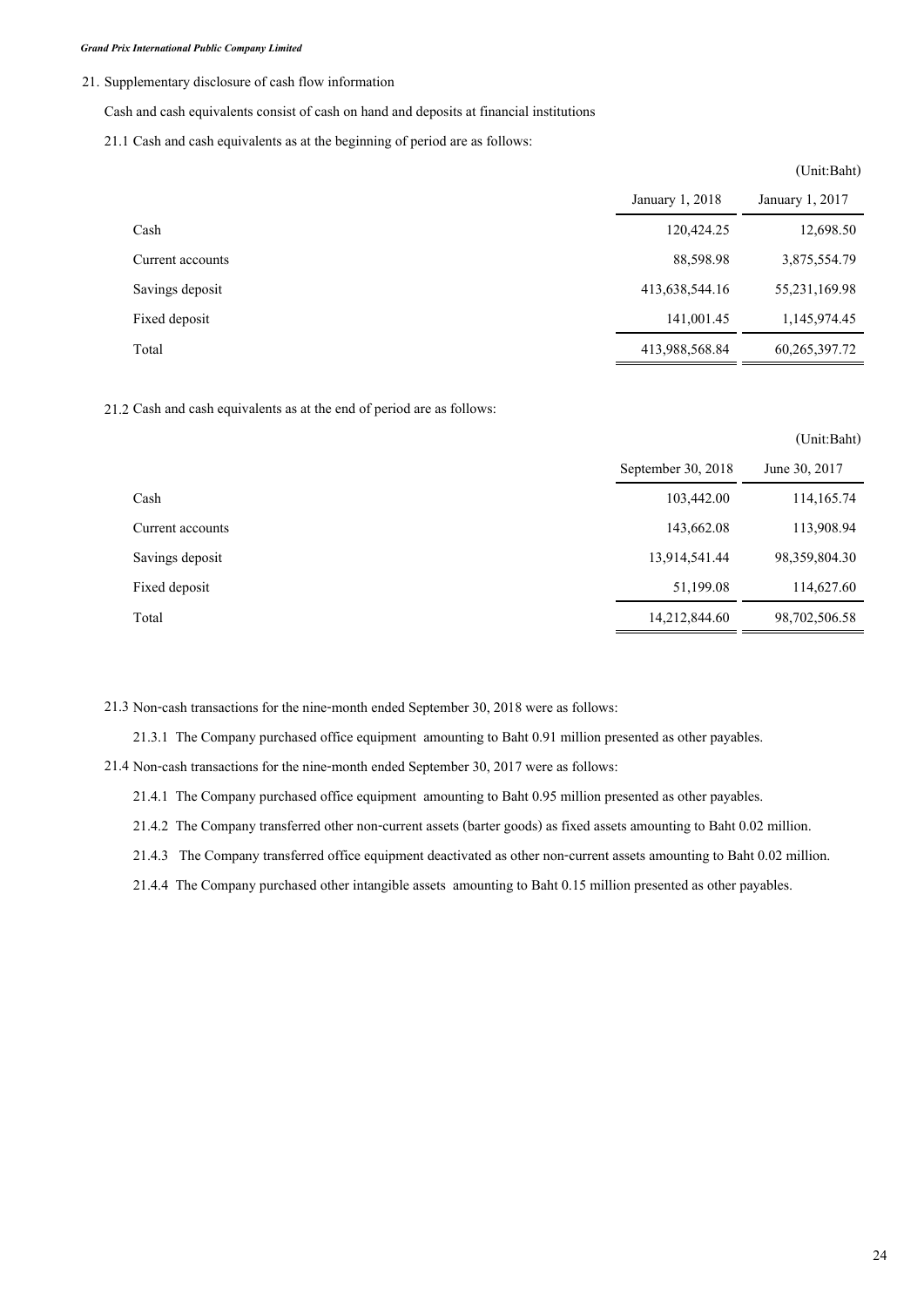#### **21. Supplementary disclosure of cash flow information**

**Cash and cash equivalents consist of cash on hand and deposits at financial institutions**

**21.1 Cash and cash equivalents as at the beginning of period are as follows:**

|                  |                 | (UIIII.Daiit <i>)</i> |
|------------------|-----------------|-----------------------|
|                  | January 1, 2018 | January 1, 2017       |
| Cash             | 120,424.25      | 12,698.50             |
| Current accounts | 88,598.98       | 3,875,554.79          |
| Savings deposit  | 413,638,544.16  | 55,231,169.98         |
| Fixed deposit    | 141,001.45      | 1,145,974.45          |
| Total            | 413,988,568.84  | 60,265,397.72         |

**21.2 Cash and cash equivalents as at the end of period are as follows:**

|                  |                    | (Unit:Baht)   |
|------------------|--------------------|---------------|
|                  | September 30, 2018 | June 30, 2017 |
| Cash             | 103,442.00         | 114,165.74    |
| Current accounts | 143,662.08         | 113,908.94    |
| Savings deposit  | 13,914,541.44      | 98,359,804.30 |
| Fixed deposit    | 51,199.08          | 114,627.60    |
| Total            | 14,212,844.60      | 98,702,506.58 |

**21.3 Non-cash transactions for the nine-month ended September 30, 2018 were as follows:**

**21.3.1 The Company purchased office equipment amounting to Baht 0.91 million presented as other payables.**

**21.4 Non-cash transactions for the nine-month ended September 30, 2017 were as follows:**

**21.4.1 The Company purchased office equipment amounting to Baht 0.95 million presented as other payables.**

**21.4.2 The Company transferred other non-current assets (barter goods) as fixed assets amounting to Baht 0.02 million.**

**21.4.3 The Company transferred office equipment deactivated as other non-current assets amounting to Baht 0.02 million.** 

**21.4.4 The Company purchased other intangible assets amounting to Baht 0.15 million presented as other payables.**

 $(TU \cap B \cap D)$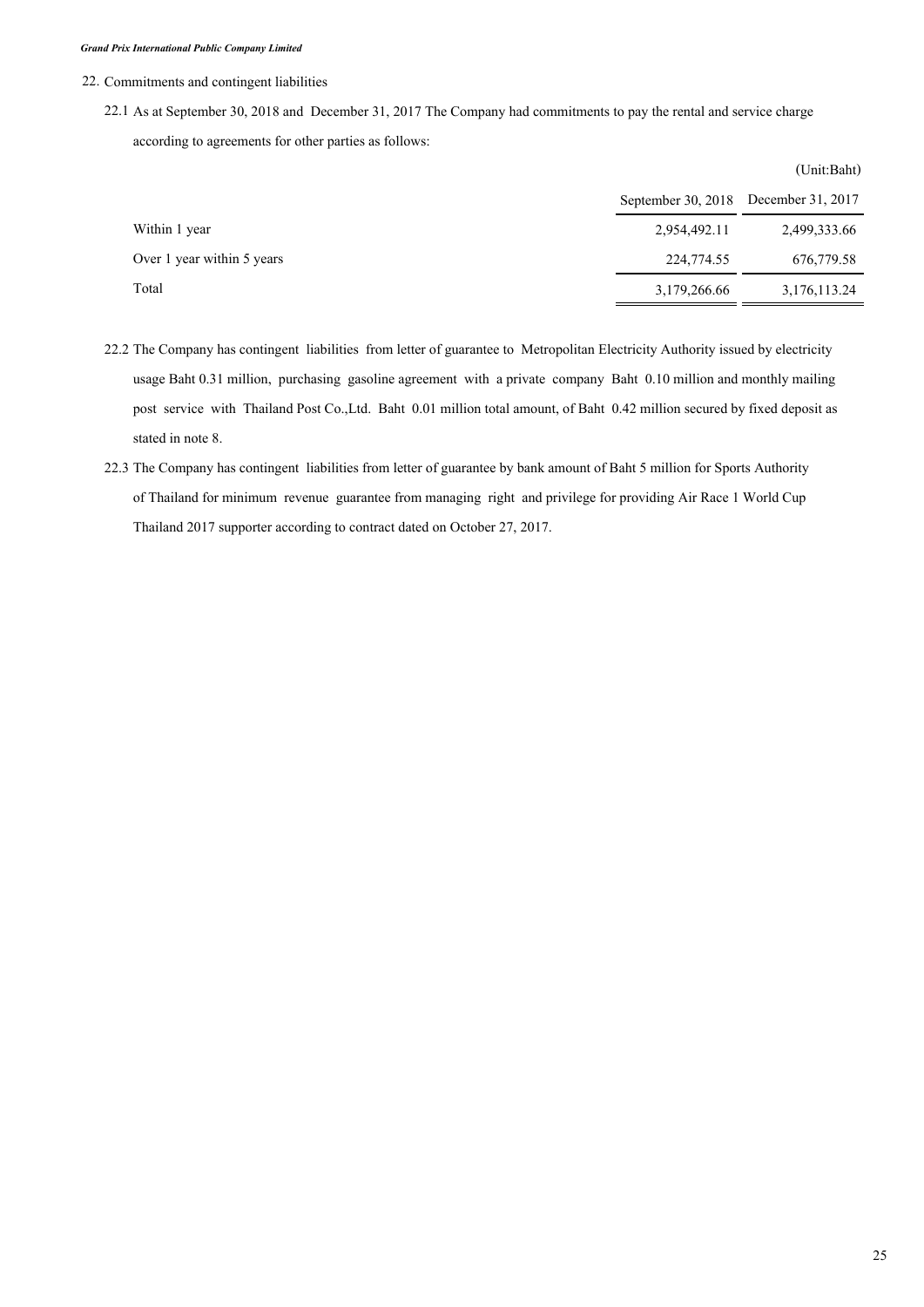**22. Commitments and contingent liabilities**

**22.1 As at September 30, 2018 and December 31, 2017 The Company had commitments to pay the rental and service charge according to agreements for other parties as follows:**

|                            |                      | (Unit:Baht)       |
|----------------------------|----------------------|-------------------|
|                            | September 30, $2018$ | December 31, 2017 |
| Within 1 year              | 2,954,492.11         | 2,499,333.66      |
| Over 1 year within 5 years | 224,774.55           | 676,779.58        |
| Total                      | 3,179,266.66         | 3,176,113.24      |

- **22.2 The Company has contingent liabilities from letter of guarantee to Metropolitan Electricity Authority issued by electricity usage Baht 0.31 million, purchasing gasoline agreement with a private company Baht 0.10 million and monthly mailing post service with Thailand Post Co.,Ltd. Baht 0.01 million total amount, of Baht 0.42 million secured by fixed deposit as stated in note 8.**
- **22.3 The Company has contingent liabilities from letter of guarantee by bank amount of Baht 5 million for Sports Authority of Thailand for minimum revenue guarantee from managing right and privilege for providing Air Race 1 World Cup Thailand 2017 supporter according to contract dated on October 27, 2017.**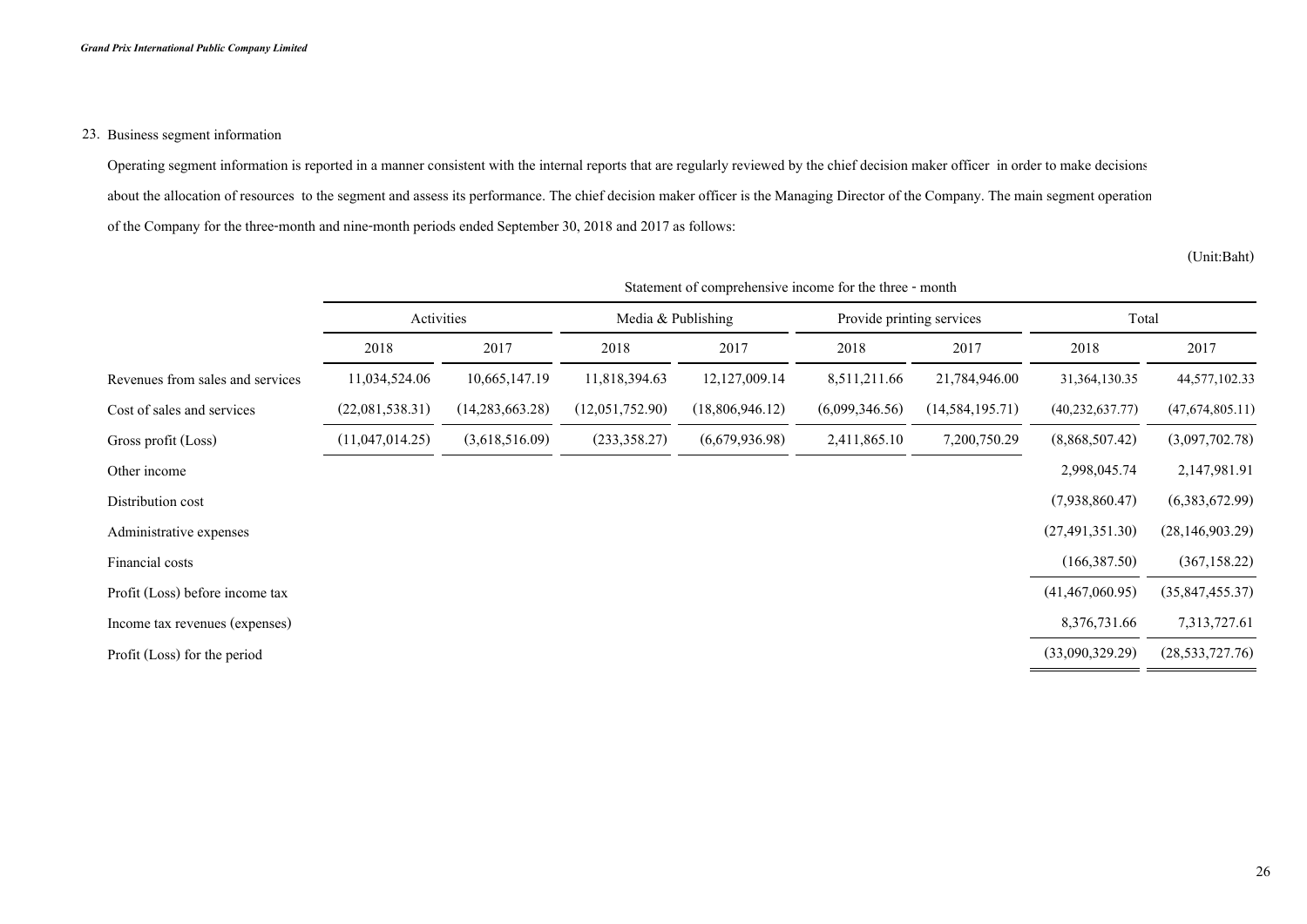### **23. Business segment information**

**Operating segment information is reported in a manner consistent with the internal reports that are regularly reviewed by the chief decision maker officer in order to make decisions about the allocation of resources to the segment and assess its performance. The chief decision maker officer is the Managing Director of the Company. The main segment operation of the Company for the three-month and nine-month periods ended September 30, 2018 and 2017 as follows:**

**(Unit:Baht)**

|                                  | statement of comprenensive income for the time - month |                   |                    |                 |                           |                   |                    |                   |
|----------------------------------|--------------------------------------------------------|-------------------|--------------------|-----------------|---------------------------|-------------------|--------------------|-------------------|
|                                  | Activities                                             |                   | Media & Publishing |                 | Provide printing services |                   | Total              |                   |
|                                  | 2018                                                   | 2017              | 2018               | 2017            | 2018                      | 2017              | 2018               | 2017              |
| Revenues from sales and services | 11,034,524.06                                          | 10,665,147.19     | 11,818,394.63      | 12,127,009.14   | 8,511,211.66              | 21,784,946.00     | 31,364,130.35      | 44,577,102.33     |
| Cost of sales and services       | (22,081,538.31)                                        | (14, 283, 663.28) | (12,051,752.90)    | (18,806,946.12) | (6,099,346.56)            | (14, 584, 195.71) | (40, 232, 637, 77) | (47,674,805.11)   |
| Gross profit (Loss)              | (11,047,014.25)                                        | (3,618,516.09)    | (233,358.27)       | (6,679,936.98)  | 2,411,865.10              | 7,200,750.29      | (8,868,507.42)     | (3,097,702.78)    |
| Other income                     |                                                        |                   |                    |                 |                           |                   | 2,998,045.74       | 2,147,981.91      |
| Distribution cost                |                                                        |                   |                    |                 |                           |                   | (7,938,860.47)     | (6,383,672.99)    |
| Administrative expenses          |                                                        |                   |                    |                 |                           |                   | (27, 491, 351.30)  | (28, 146, 903.29) |
| Financial costs                  |                                                        |                   |                    |                 |                           |                   | (166,387.50)       | (367, 158.22)     |
| Profit (Loss) before income tax  |                                                        |                   |                    |                 |                           |                   | (41, 467, 060.95)  | (35,847,455.37)   |
| Income tax revenues (expenses)   |                                                        |                   |                    |                 |                           |                   | 8,376,731.66       | 7,313,727.61      |
| Profit (Loss) for the period     |                                                        |                   |                    |                 |                           |                   | (33,090,329.29)    | (28, 533, 727.76) |
|                                  |                                                        |                   |                    |                 |                           |                   |                    |                   |

# **Statement of comprehensive income for the three - month**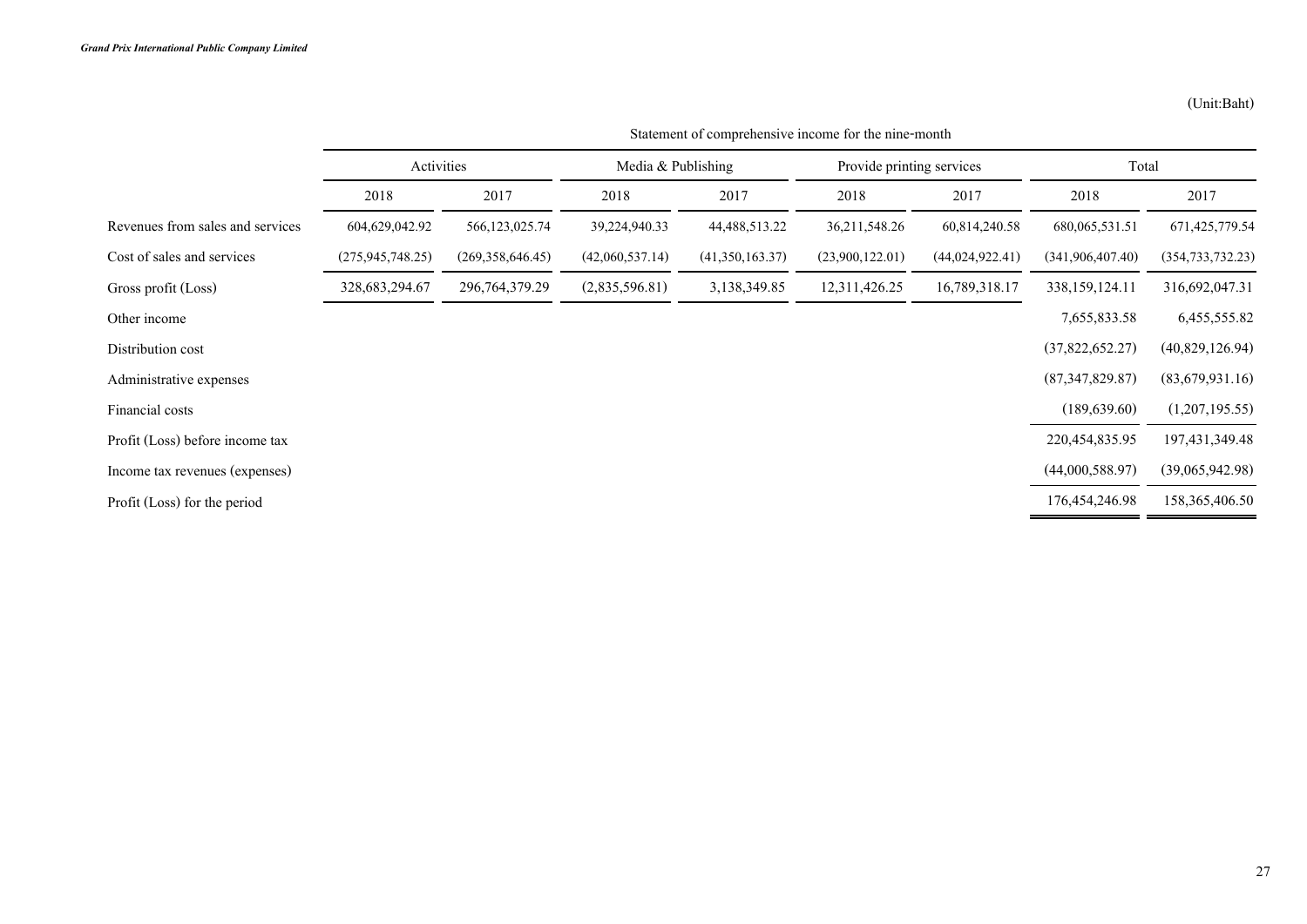|                                  | Activities         |                   | Media $&$ Publishing |                  | Provide printing services |                   | Total              |                    |
|----------------------------------|--------------------|-------------------|----------------------|------------------|---------------------------|-------------------|--------------------|--------------------|
|                                  | 2018               | 2017              | 2018                 | 2017             | 2018                      | 2017              | 2018               | 2017               |
| Revenues from sales and services | 604,629,042.92     | 566, 123, 025.74  | 39,224,940.33        | 44, 488, 513. 22 | 36, 211, 548. 26          | 60,814,240.58     | 680,065,531.51     | 671,425,779.54     |
| Cost of sales and services       | (275, 945, 748.25) | (269,358,646.45)  | (42,060,537,14)      | (41,350,163.37)  | (23,900,122.01)           | (44, 024, 922.41) | (341, 906, 407.40) | (354, 733, 732.23) |
| Gross profit (Loss)              | 328, 683, 294. 67  | 296, 764, 379. 29 | (2,835,596.81)       | 3,138,349.85     | 12,311,426.25             | 16,789,318.17     | 338, 159, 124. 11  | 316,692,047.31     |
| Other income                     |                    |                   |                      |                  |                           |                   | 7,655,833.58       | 6,455,555.82       |
| Distribution cost                |                    |                   |                      |                  |                           |                   | (37,822,652.27)    | (40,829,126.94)    |
| Administrative expenses          |                    |                   |                      |                  |                           |                   | (87,347,829.87)    | (83,679,931.16)    |
| Financial costs                  |                    |                   |                      |                  |                           |                   | (189, 639.60)      | (1,207,195.55)     |
| Profit (Loss) before income tax  |                    |                   |                      |                  |                           |                   | 220, 454, 835. 95  | 197, 431, 349. 48  |
| Income tax revenues (expenses)   |                    |                   |                      |                  |                           |                   | (44,000,588.97)    | (39,065,942.98)    |
| Profit (Loss) for the period     |                    |                   |                      |                  |                           |                   | 176,454,246.98     | 158,365,406.50     |

**Statement of comprehensive income for the nine-month**